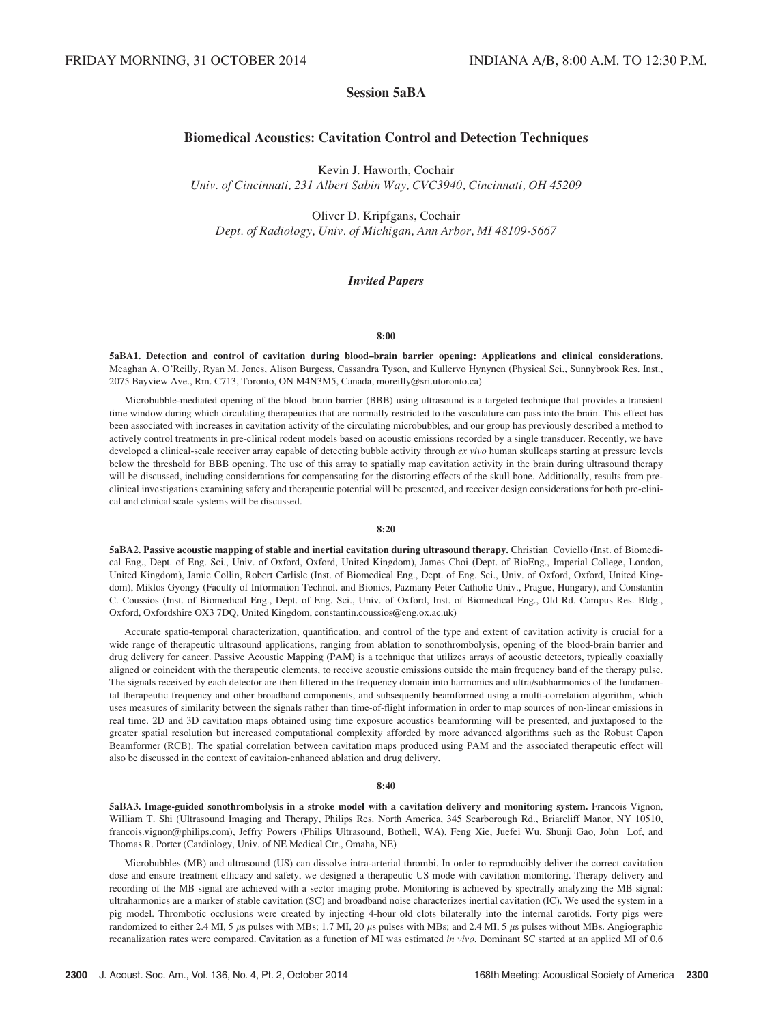# Session 5aBA

# Biomedical Acoustics: Cavitation Control and Detection Techniques

Kevin J. Haworth, Cochair Univ. of Cincinnati, 231 Albert Sabin Way, CVC3940, Cincinnati, OH 45209

Oliver D. Kripfgans, Cochair Dept. of Radiology, Univ. of Michigan, Ann Arbor, MI 48109-5667

# Invited Papers

### 8:00

5aBA1. Detection and control of cavitation during blood–brain barrier opening: Applications and clinical considerations. Meaghan A. O'Reilly, Ryan M. Jones, Alison Burgess, Cassandra Tyson, and Kullervo Hynynen (Physical Sci., Sunnybrook Res. Inst., 2075 Bayview Ave., Rm. C713, Toronto, ON M4N3M5, Canada, moreilly@sri.utoronto.ca)

Microbubble-mediated opening of the blood–brain barrier (BBB) using ultrasound is a targeted technique that provides a transient time window during which circulating therapeutics that are normally restricted to the vasculature can pass into the brain. This effect has been associated with increases in cavitation activity of the circulating microbubbles, and our group has previously described a method to actively control treatments in pre-clinical rodent models based on acoustic emissions recorded by a single transducer. Recently, we have developed a clinical-scale receiver array capable of detecting bubble activity through ex vivo human skullcaps starting at pressure levels below the threshold for BBB opening. The use of this array to spatially map cavitation activity in the brain during ultrasound therapy will be discussed, including considerations for compensating for the distorting effects of the skull bone. Additionally, results from preclinical investigations examining safety and therapeutic potential will be presented, and receiver design considerations for both pre-clinical and clinical scale systems will be discussed.

### 8:20

5aBA2. Passive acoustic mapping of stable and inertial cavitation during ultrasound therapy. Christian Coviello (Inst. of Biomedical Eng., Dept. of Eng. Sci., Univ. of Oxford, Oxford, United Kingdom), James Choi (Dept. of BioEng., Imperial College, London, United Kingdom), Jamie Collin, Robert Carlisle (Inst. of Biomedical Eng., Dept. of Eng. Sci., Univ. of Oxford, Oxford, United Kingdom), Miklos Gyongy (Faculty of Information Technol. and Bionics, Pazmany Peter Catholic Univ., Prague, Hungary), and Constantin C. Coussios (Inst. of Biomedical Eng., Dept. of Eng. Sci., Univ. of Oxford, Inst. of Biomedical Eng., Old Rd. Campus Res. Bldg., Oxford, Oxfordshire OX3 7DQ, United Kingdom, constantin.coussios@eng.ox.ac.uk)

Accurate spatio-temporal characterization, quantification, and control of the type and extent of cavitation activity is crucial for a wide range of therapeutic ultrasound applications, ranging from ablation to sonothrombolysis, opening of the blood-brain barrier and drug delivery for cancer. Passive Acoustic Mapping (PAM) is a technique that utilizes arrays of acoustic detectors, typically coaxially aligned or coincident with the therapeutic elements, to receive acoustic emissions outside the main frequency band of the therapy pulse. The signals received by each detector are then filtered in the frequency domain into harmonics and ultra/subharmonics of the fundamental therapeutic frequency and other broadband components, and subsequently beamformed using a multi-correlation algorithm, which uses measures of similarity between the signals rather than time-of-flight information in order to map sources of non-linear emissions in real time. 2D and 3D cavitation maps obtained using time exposure acoustics beamforming will be presented, and juxtaposed to the greater spatial resolution but increased computational complexity afforded by more advanced algorithms such as the Robust Capon Beamformer (RCB). The spatial correlation between cavitation maps produced using PAM and the associated therapeutic effect will also be discussed in the context of cavitaion-enhanced ablation and drug delivery.

#### 8:40

5aBA3. Image-guided sonothrombolysis in a stroke model with a cavitation delivery and monitoring system. Francois Vignon, William T. Shi (Ultrasound Imaging and Therapy, Philips Res. North America, 345 Scarborough Rd., Briarcliff Manor, NY 10510, francois.vignon@philips.com), Jeffry Powers (Philips Ultrasound, Bothell, WA), Feng Xie, Juefei Wu, Shunji Gao, John Lof, and Thomas R. Porter (Cardiology, Univ. of NE Medical Ctr., Omaha, NE)

Microbubbles (MB) and ultrasound (US) can dissolve intra-arterial thrombi. In order to reproducibly deliver the correct cavitation dose and ensure treatment efficacy and safety, we designed a therapeutic US mode with cavitation monitoring. Therapy delivery and recording of the MB signal are achieved with a sector imaging probe. Monitoring is achieved by spectrally analyzing the MB signal: ultraharmonics are a marker of stable cavitation (SC) and broadband noise characterizes inertial cavitation (IC). We used the system in a pig model. Thrombotic occlusions were created by injecting 4-hour old clots bilaterally into the internal carotids. Forty pigs were randomized to either 2.4 MI, 5  $\mu$ s pulses with MBs; 1.7 MI, 20  $\mu$ s pulses with MBs; and 2.4 MI, 5  $\mu$ s pulses without MBs. Angiographic recanalization rates were compared. Cavitation as a function of MI was estimated in vivo. Dominant SC started at an applied MI of 0.6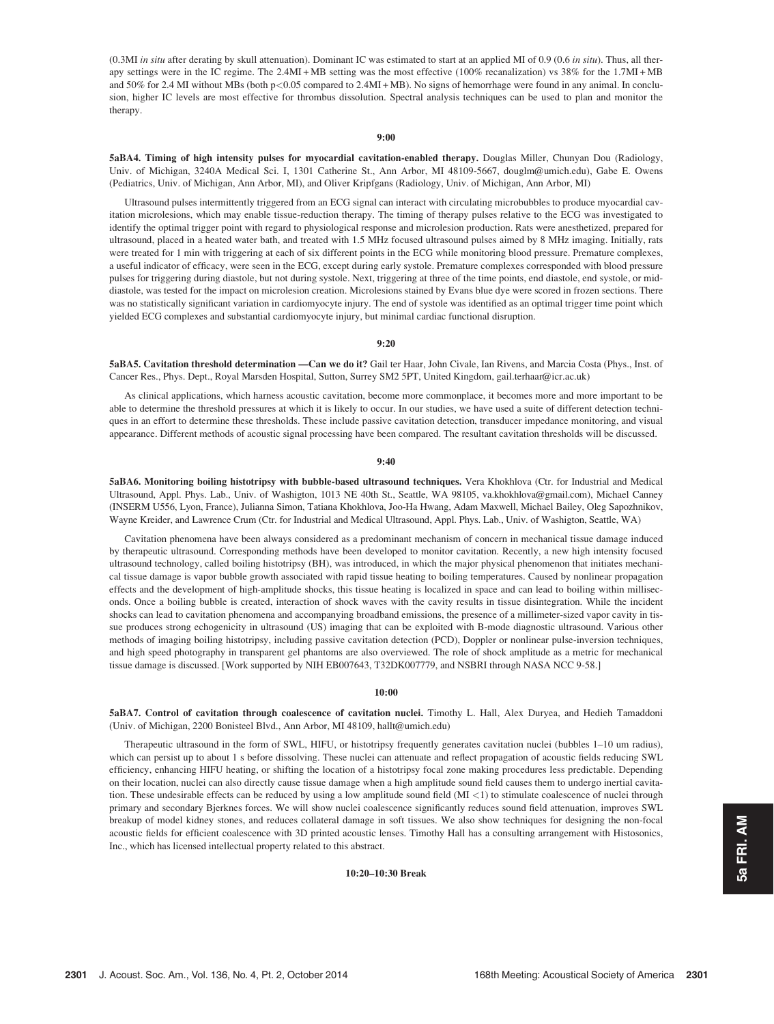(0.3MI in situ after derating by skull attenuation). Dominant IC was estimated to start at an applied MI of 0.9 (0.6 in situ). Thus, all therapy settings were in the IC regime. The 2.4MI + MB setting was the most effective (100% recanalization) vs 38% for the 1.7MI + MB and 50% for 2.4 MI without MBs (both p<0.05 compared to 2.4MI + MB). No signs of hemorrhage were found in any animal. In conclusion, higher IC levels are most effective for thrombus dissolution. Spectral analysis techniques can be used to plan and monitor the therapy.

### 9:00

5aBA4. Timing of high intensity pulses for myocardial cavitation-enabled therapy. Douglas Miller, Chunyan Dou (Radiology, Univ. of Michigan, 3240A Medical Sci. I, 1301 Catherine St., Ann Arbor, MI 48109-5667, douglm@umich.edu), Gabe E. Owens (Pediatrics, Univ. of Michigan, Ann Arbor, MI), and Oliver Kripfgans (Radiology, Univ. of Michigan, Ann Arbor, MI)

Ultrasound pulses intermittently triggered from an ECG signal can interact with circulating microbubbles to produce myocardial cavitation microlesions, which may enable tissue-reduction therapy. The timing of therapy pulses relative to the ECG was investigated to identify the optimal trigger point with regard to physiological response and microlesion production. Rats were anesthetized, prepared for ultrasound, placed in a heated water bath, and treated with 1.5 MHz focused ultrasound pulses aimed by 8 MHz imaging. Initially, rats were treated for 1 min with triggering at each of six different points in the ECG while monitoring blood pressure. Premature complexes, a useful indicator of efficacy, were seen in the ECG, except during early systole. Premature complexes corresponded with blood pressure pulses for triggering during diastole, but not during systole. Next, triggering at three of the time points, end diastole, end systole, or middiastole, was tested for the impact on microlesion creation. Microlesions stained by Evans blue dye were scored in frozen sections. There was no statistically significant variation in cardiomyocyte injury. The end of systole was identified as an optimal trigger time point which yielded ECG complexes and substantial cardiomyocyte injury, but minimal cardiac functional disruption.

#### 9:20

5aBA5. Cavitation threshold determination —Can we do it? Gail ter Haar, John Civale, Ian Rivens, and Marcia Costa (Phys., Inst. of Cancer Res., Phys. Dept., Royal Marsden Hospital, Sutton, Surrey SM2 5PT, United Kingdom, gail.terhaar@icr.ac.uk)

As clinical applications, which harness acoustic cavitation, become more commonplace, it becomes more and more important to be able to determine the threshold pressures at which it is likely to occur. In our studies, we have used a suite of different detection techniques in an effort to determine these thresholds. These include passive cavitation detection, transducer impedance monitoring, and visual appearance. Different methods of acoustic signal processing have been compared. The resultant cavitation thresholds will be discussed.

#### 9:40

5aBA6. Monitoring boiling histotripsy with bubble-based ultrasound techniques. Vera Khokhlova (Ctr. for Industrial and Medical Ultrasound, Appl. Phys. Lab., Univ. of Washigton, 1013 NE 40th St., Seattle, WA 98105, va.khokhlova@gmail.com), Michael Canney (INSERM U556, Lyon, France), Julianna Simon, Tatiana Khokhlova, Joo-Ha Hwang, Adam Maxwell, Michael Bailey, Oleg Sapozhnikov, Wayne Kreider, and Lawrence Crum (Ctr. for Industrial and Medical Ultrasound, Appl. Phys. Lab., Univ. of Washigton, Seattle, WA)

Cavitation phenomena have been always considered as a predominant mechanism of concern in mechanical tissue damage induced by therapeutic ultrasound. Corresponding methods have been developed to monitor cavitation. Recently, a new high intensity focused ultrasound technology, called boiling histotripsy (BH), was introduced, in which the major physical phenomenon that initiates mechanical tissue damage is vapor bubble growth associated with rapid tissue heating to boiling temperatures. Caused by nonlinear propagation effects and the development of high-amplitude shocks, this tissue heating is localized in space and can lead to boiling within milliseconds. Once a boiling bubble is created, interaction of shock waves with the cavity results in tissue disintegration. While the incident shocks can lead to cavitation phenomena and accompanying broadband emissions, the presence of a millimeter-sized vapor cavity in tissue produces strong echogenicity in ultrasound (US) imaging that can be exploited with B-mode diagnostic ultrasound. Various other methods of imaging boiling histotripsy, including passive cavitation detection (PCD), Doppler or nonlinear pulse-inversion techniques, and high speed photography in transparent gel phantoms are also overviewed. The role of shock amplitude as a metric for mechanical tissue damage is discussed. [Work supported by NIH EB007643, T32DK007779, and NSBRI through NASA NCC 9-58.]

### 10:00

5aBA7. Control of cavitation through coalescence of cavitation nuclei. Timothy L. Hall, Alex Duryea, and Hedieh Tamaddoni (Univ. of Michigan, 2200 Bonisteel Blvd., Ann Arbor, MI 48109, hallt@umich.edu)

Therapeutic ultrasound in the form of SWL, HIFU, or histotripsy frequently generates cavitation nuclei (bubbles 1–10 um radius), which can persist up to about 1 s before dissolving. These nuclei can attenuate and reflect propagation of acoustic fields reducing SWL efficiency, enhancing HIFU heating, or shifting the location of a histotripsy focal zone making procedures less predictable. Depending on their location, nuclei can also directly cause tissue damage when a high amplitude sound field causes them to undergo inertial cavitation. These undesirable effects can be reduced by using a low amplitude sound field (MI <1) to stimulate coalescence of nuclei through primary and secondary Bjerknes forces. We will show nuclei coalescence significantly reduces sound field attenuation, improves SWL breakup of model kidney stones, and reduces collateral damage in soft tissues. We also show techniques for designing the non-focal acoustic fields for efficient coalescence with 3D printed acoustic lenses. Timothy Hall has a consulting arrangement with Histosonics, Inc., which has licensed intellectual property related to this abstract.

### 10:20–10:30 Break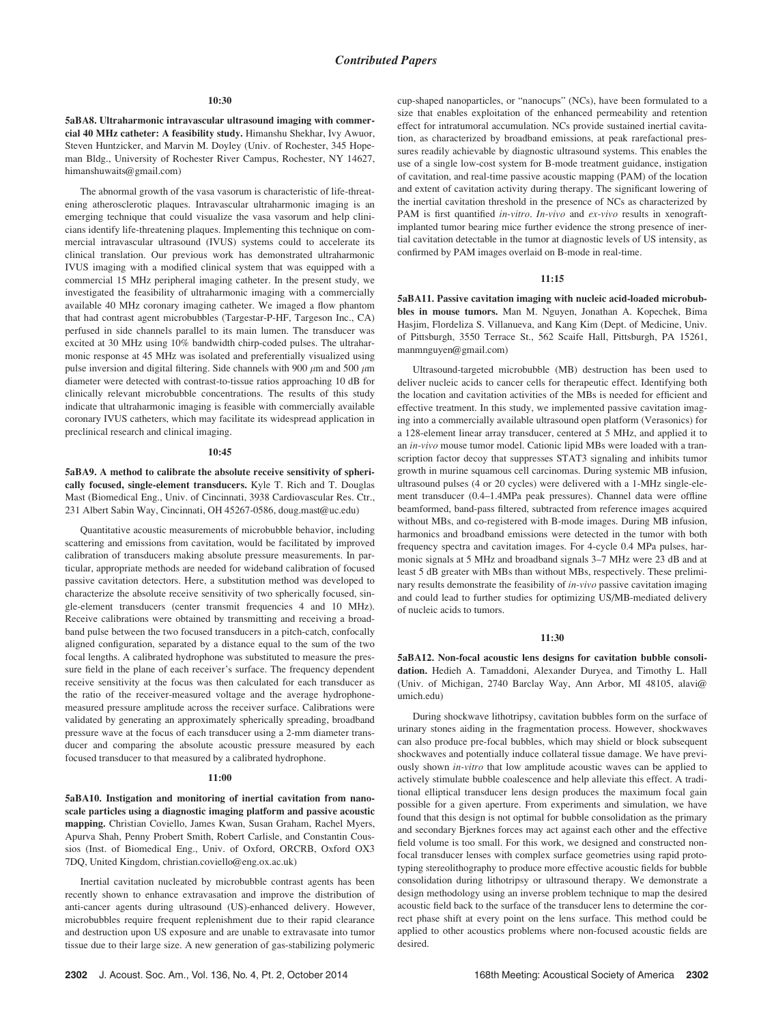#### 10:30

5aBA8. Ultraharmonic intravascular ultrasound imaging with commercial 40 MHz catheter: A feasibility study. Himanshu Shekhar, Ivy Awuor, Steven Huntzicker, and Marvin M. Doyley (Univ. of Rochester, 345 Hopeman Bldg., University of Rochester River Campus, Rochester, NY 14627, himanshuwaits@gmail.com)

The abnormal growth of the vasa vasorum is characteristic of life-threatening atherosclerotic plaques. Intravascular ultraharmonic imaging is an emerging technique that could visualize the vasa vasorum and help clinicians identify life-threatening plaques. Implementing this technique on commercial intravascular ultrasound (IVUS) systems could to accelerate its clinical translation. Our previous work has demonstrated ultraharmonic IVUS imaging with a modified clinical system that was equipped with a commercial 15 MHz peripheral imaging catheter. In the present study, we investigated the feasibility of ultraharmonic imaging with a commercially available 40 MHz coronary imaging catheter. We imaged a flow phantom that had contrast agent microbubbles (Targestar-P-HF, Targeson Inc., CA) perfused in side channels parallel to its main lumen. The transducer was excited at 30 MHz using 10% bandwidth chirp-coded pulses. The ultraharmonic response at 45 MHz was isolated and preferentially visualized using pulse inversion and digital filtering. Side channels with 900  $\mu$ m and 500  $\mu$ m diameter were detected with contrast-to-tissue ratios approaching 10 dB for clinically relevant microbubble concentrations. The results of this study indicate that ultraharmonic imaging is feasible with commercially available coronary IVUS catheters, which may facilitate its widespread application in preclinical research and clinical imaging.

### $10.45$

5aBA9. A method to calibrate the absolute receive sensitivity of spherically focused, single-element transducers. Kyle T. Rich and T. Douglas Mast (Biomedical Eng., Univ. of Cincinnati, 3938 Cardiovascular Res. Ctr., 231 Albert Sabin Way, Cincinnati, OH 45267-0586, doug.mast@uc.edu)

Quantitative acoustic measurements of microbubble behavior, including scattering and emissions from cavitation, would be facilitated by improved calibration of transducers making absolute pressure measurements. In particular, appropriate methods are needed for wideband calibration of focused passive cavitation detectors. Here, a substitution method was developed to characterize the absolute receive sensitivity of two spherically focused, single-element transducers (center transmit frequencies 4 and 10 MHz). Receive calibrations were obtained by transmitting and receiving a broadband pulse between the two focused transducers in a pitch-catch, confocally aligned configuration, separated by a distance equal to the sum of the two focal lengths. A calibrated hydrophone was substituted to measure the pressure field in the plane of each receiver's surface. The frequency dependent receive sensitivity at the focus was then calculated for each transducer as the ratio of the receiver-measured voltage and the average hydrophonemeasured pressure amplitude across the receiver surface. Calibrations were validated by generating an approximately spherically spreading, broadband pressure wave at the focus of each transducer using a 2-mm diameter transducer and comparing the absolute acoustic pressure measured by each focused transducer to that measured by a calibrated hydrophone.

#### 11:00

5aBA10. Instigation and monitoring of inertial cavitation from nanoscale particles using a diagnostic imaging platform and passive acoustic mapping. Christian Coviello, James Kwan, Susan Graham, Rachel Myers, Apurva Shah, Penny Probert Smith, Robert Carlisle, and Constantin Coussios (Inst. of Biomedical Eng., Univ. of Oxford, ORCRB, Oxford OX3 7DQ, United Kingdom, christian.coviello@eng.ox.ac.uk)

Inertial cavitation nucleated by microbubble contrast agents has been recently shown to enhance extravasation and improve the distribution of anti-cancer agents during ultrasound (US)-enhanced delivery. However, microbubbles require frequent replenishment due to their rapid clearance and destruction upon US exposure and are unable to extravasate into tumor tissue due to their large size. A new generation of gas-stabilizing polymeric cup-shaped nanoparticles, or "nanocups" (NCs), have been formulated to a size that enables exploitation of the enhanced permeability and retention effect for intratumoral accumulation. NCs provide sustained inertial cavitation, as characterized by broadband emissions, at peak rarefactional pressures readily achievable by diagnostic ultrasound systems. This enables the use of a single low-cost system for B-mode treatment guidance, instigation of cavitation, and real-time passive acoustic mapping (PAM) of the location and extent of cavitation activity during therapy. The significant lowering of the inertial cavitation threshold in the presence of NCs as characterized by PAM is first quantified in-vitro. In-vivo and ex-vivo results in xenograftimplanted tumor bearing mice further evidence the strong presence of inertial cavitation detectable in the tumor at diagnostic levels of US intensity, as confirmed by PAM images overlaid on B-mode in real-time.

#### 11:15

5aBA11. Passive cavitation imaging with nucleic acid-loaded microbubbles in mouse tumors. Man M. Nguyen, Jonathan A. Kopechek, Bima Hasjim, Flordeliza S. Villanueva, and Kang Kim (Dept. of Medicine, Univ. of Pittsburgh, 3550 Terrace St., 562 Scaife Hall, Pittsburgh, PA 15261, manmnguyen@gmail.com)

Ultrasound-targeted microbubble (MB) destruction has been used to deliver nucleic acids to cancer cells for therapeutic effect. Identifying both the location and cavitation activities of the MBs is needed for efficient and effective treatment. In this study, we implemented passive cavitation imaging into a commercially available ultrasound open platform (Verasonics) for a 128-element linear array transducer, centered at 5 MHz, and applied it to an in-vivo mouse tumor model. Cationic lipid MBs were loaded with a transcription factor decoy that suppresses STAT3 signaling and inhibits tumor growth in murine squamous cell carcinomas. During systemic MB infusion, ultrasound pulses (4 or 20 cycles) were delivered with a 1-MHz single-element transducer (0.4–1.4MPa peak pressures). Channel data were offline beamformed, band-pass filtered, subtracted from reference images acquired without MBs, and co-registered with B-mode images. During MB infusion, harmonics and broadband emissions were detected in the tumor with both frequency spectra and cavitation images. For 4-cycle 0.4 MPa pulses, harmonic signals at 5 MHz and broadband signals 3–7 MHz were 23 dB and at least 5 dB greater with MBs than without MBs, respectively. These preliminary results demonstrate the feasibility of *in-vivo* passive cavitation imaging and could lead to further studies for optimizing US/MB-mediated delivery of nucleic acids to tumors.

### 11:30

5aBA12. Non-focal acoustic lens designs for cavitation bubble consolidation. Hedieh A. Tamaddoni, Alexander Duryea, and Timothy L. Hall (Univ. of Michigan, 2740 Barclay Way, Ann Arbor, MI 48105, alavi@ umich.edu)

During shockwave lithotripsy, cavitation bubbles form on the surface of urinary stones aiding in the fragmentation process. However, shockwaves can also produce pre-focal bubbles, which may shield or block subsequent shockwaves and potentially induce collateral tissue damage. We have previously shown in-vitro that low amplitude acoustic waves can be applied to actively stimulate bubble coalescence and help alleviate this effect. A traditional elliptical transducer lens design produces the maximum focal gain possible for a given aperture. From experiments and simulation, we have found that this design is not optimal for bubble consolidation as the primary and secondary Bjerknes forces may act against each other and the effective field volume is too small. For this work, we designed and constructed nonfocal transducer lenses with complex surface geometries using rapid prototyping stereolithography to produce more effective acoustic fields for bubble consolidation during lithotripsy or ultrasound therapy. We demonstrate a design methodology using an inverse problem technique to map the desired acoustic field back to the surface of the transducer lens to determine the correct phase shift at every point on the lens surface. This method could be applied to other acoustics problems where non-focused acoustic fields are desired.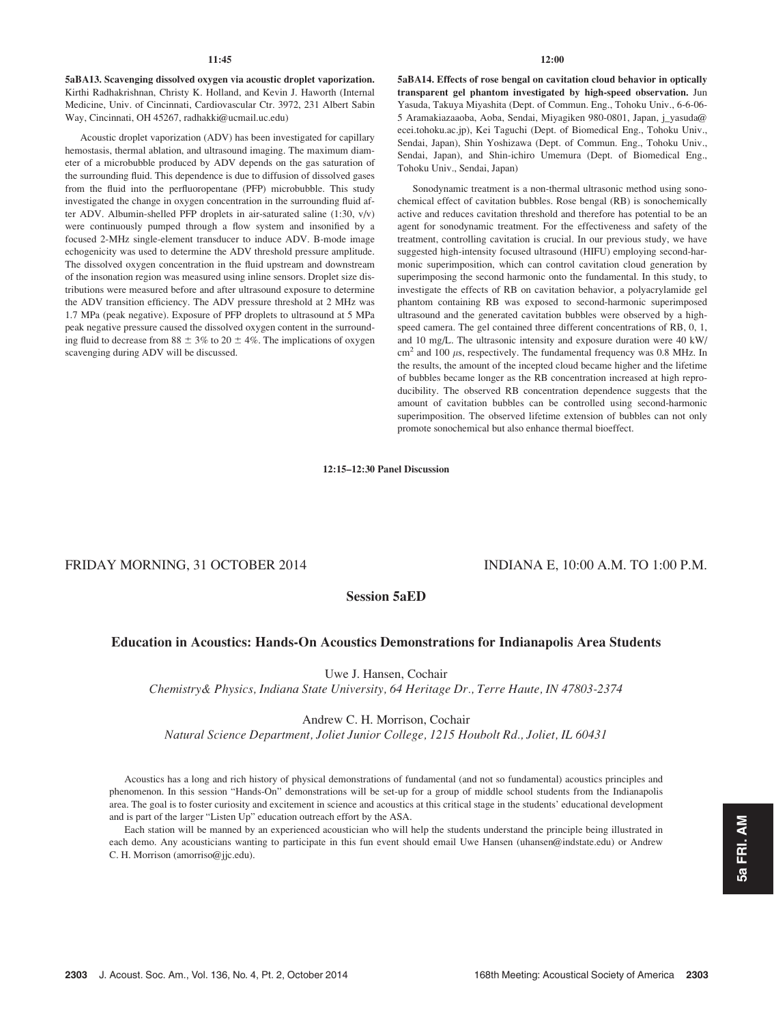5aBA13. Scavenging dissolved oxygen via acoustic droplet vaporization. Kirthi Radhakrishnan, Christy K. Holland, and Kevin J. Haworth (Internal Medicine, Univ. of Cincinnati, Cardiovascular Ctr. 3972, 231 Albert Sabin Way, Cincinnati, OH 45267, radhakki@ucmail.uc.edu)

Acoustic droplet vaporization (ADV) has been investigated for capillary hemostasis, thermal ablation, and ultrasound imaging. The maximum diameter of a microbubble produced by ADV depends on the gas saturation of the surrounding fluid. This dependence is due to diffusion of dissolved gases from the fluid into the perfluoropentane (PFP) microbubble. This study investigated the change in oxygen concentration in the surrounding fluid after ADV. Albumin-shelled PFP droplets in air-saturated saline (1:30, v/v) were continuously pumped through a flow system and insonified by a focused 2-MHz single-element transducer to induce ADV. B-mode image echogenicity was used to determine the ADV threshold pressure amplitude. The dissolved oxygen concentration in the fluid upstream and downstream of the insonation region was measured using inline sensors. Droplet size distributions were measured before and after ultrasound exposure to determine the ADV transition efficiency. The ADV pressure threshold at 2 MHz was 1.7 MPa (peak negative). Exposure of PFP droplets to ultrasound at 5 MPa peak negative pressure caused the dissolved oxygen content in the surrounding fluid to decrease from 88  $\pm$  3% to 20  $\pm$  4%. The implications of oxygen scavenging during ADV will be discussed.

5aBA14. Effects of rose bengal on cavitation cloud behavior in optically transparent gel phantom investigated by high-speed observation. Jun Yasuda, Takuya Miyashita (Dept. of Commun. Eng., Tohoku Univ., 6-6-06- 5 Aramakiazaaoba, Aoba, Sendai, Miyagiken 980-0801, Japan, j\_yasuda@ ecei.tohoku.ac.jp), Kei Taguchi (Dept. of Biomedical Eng., Tohoku Univ., Sendai, Japan), Shin Yoshizawa (Dept. of Commun. Eng., Tohoku Univ., Sendai, Japan), and Shin-ichiro Umemura (Dept. of Biomedical Eng., Tohoku Univ., Sendai, Japan)

Sonodynamic treatment is a non-thermal ultrasonic method using sonochemical effect of cavitation bubbles. Rose bengal (RB) is sonochemically active and reduces cavitation threshold and therefore has potential to be an agent for sonodynamic treatment. For the effectiveness and safety of the treatment, controlling cavitation is crucial. In our previous study, we have suggested high-intensity focused ultrasound (HIFU) employing second-harmonic superimposition, which can control cavitation cloud generation by superimposing the second harmonic onto the fundamental. In this study, to investigate the effects of RB on cavitation behavior, a polyacrylamide gel phantom containing RB was exposed to second-harmonic superimposed ultrasound and the generated cavitation bubbles were observed by a highspeed camera. The gel contained three different concentrations of RB, 0, 1, and 10 mg/L. The ultrasonic intensity and exposure duration were 40 kW/  $\text{cm}^2$  and 100  $\mu$ s, respectively. The fundamental frequency was 0.8 MHz. In the results, the amount of the incepted cloud became higher and the lifetime of bubbles became longer as the RB concentration increased at high reproducibility. The observed RB concentration dependence suggests that the amount of cavitation bubbles can be controlled using second-harmonic superimposition. The observed lifetime extension of bubbles can not only promote sonochemical but also enhance thermal bioeffect.

# 12:15–12:30 Panel Discussion

# FRIDAY MORNING, 31 OCTOBER 2014 INDIANA E, 10:00 A.M. TO 1:00 P.M.

# Session 5aED

# Education in Acoustics: Hands-On Acoustics Demonstrations for Indianapolis Area Students

Uwe J. Hansen, Cochair

Chemistry& Physics, Indiana State University, 64 Heritage Dr., Terre Haute, IN 47803-2374

### Andrew C. H. Morrison, Cochair

Natural Science Department, Joliet Junior College, 1215 Houbolt Rd., Joliet, IL 60431

Acoustics has a long and rich history of physical demonstrations of fundamental (and not so fundamental) acoustics principles and phenomenon. In this session "Hands-On" demonstrations will be set-up for a group of middle school students from the Indianapolis area. The goal is to foster curiosity and excitement in science and acoustics at this critical stage in the students' educational development and is part of the larger "Listen Up" education outreach effort by the ASA.

Each station will be manned by an experienced acoustician who will help the students understand the principle being illustrated in each demo. Any acousticians wanting to participate in this fun event should email Uwe Hansen (uhansen@indstate.edu) or Andrew C. H. Morrison (amorriso@jjc.edu).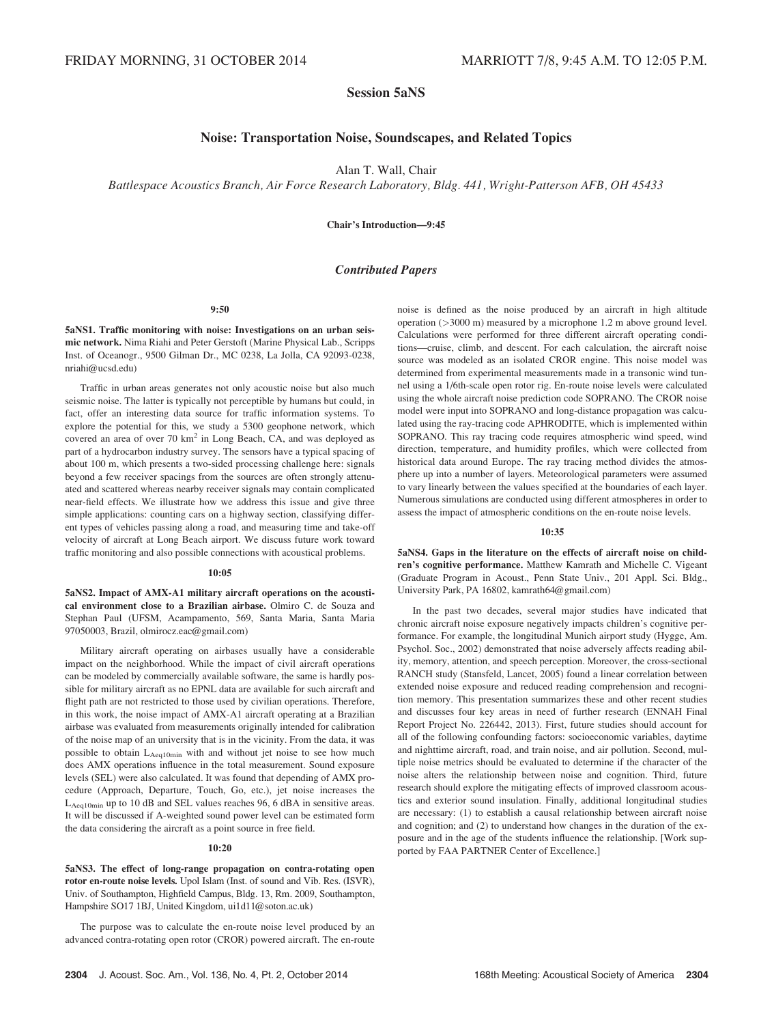# Session 5aNS

# Noise: Transportation Noise, Soundscapes, and Related Topics

Alan T. Wall, Chair

Battlespace Acoustics Branch, Air Force Research Laboratory, Bldg. 441, Wright-Patterson AFB, OH 45433

Chair's Introduction—9:45

### Contributed Papers

9:50

5aNS1. Traffic monitoring with noise: Investigations on an urban seismic network. Nima Riahi and Peter Gerstoft (Marine Physical Lab., Scripps Inst. of Oceanogr., 9500 Gilman Dr., MC 0238, La Jolla, CA 92093-0238, nriahi@ucsd.edu)

Traffic in urban areas generates not only acoustic noise but also much seismic noise. The latter is typically not perceptible by humans but could, in fact, offer an interesting data source for traffic information systems. To explore the potential for this, we study a 5300 geophone network, which covered an area of over 70 km<sup>2</sup> in Long Beach, CA, and was deployed as part of a hydrocarbon industry survey. The sensors have a typical spacing of about 100 m, which presents a two-sided processing challenge here: signals beyond a few receiver spacings from the sources are often strongly attenuated and scattered whereas nearby receiver signals may contain complicated near-field effects. We illustrate how we address this issue and give three simple applications: counting cars on a highway section, classifying different types of vehicles passing along a road, and measuring time and take-off velocity of aircraft at Long Beach airport. We discuss future work toward traffic monitoring and also possible connections with acoustical problems.

#### 10:05

5aNS2. Impact of AMX-A1 military aircraft operations on the acoustical environment close to a Brazilian airbase. Olmiro C. de Souza and Stephan Paul (UFSM, Acampamento, 569, Santa Maria, Santa Maria 97050003, Brazil, olmirocz.eac@gmail.com)

Military aircraft operating on airbases usually have a considerable impact on the neighborhood. While the impact of civil aircraft operations can be modeled by commercially available software, the same is hardly possible for military aircraft as no EPNL data are available for such aircraft and flight path are not restricted to those used by civilian operations. Therefore, in this work, the noise impact of AMX-A1 aircraft operating at a Brazilian airbase was evaluated from measurements originally intended for calibration of the noise map of an university that is in the vicinity. From the data, it was possible to obtain L<sub>Aeq10min</sub> with and without jet noise to see how much does AMX operations influence in the total measurement. Sound exposure levels (SEL) were also calculated. It was found that depending of AMX procedure (Approach, Departure, Touch, Go, etc.), jet noise increases the LAeq10min up to 10 dB and SEL values reaches 96, 6 dBA in sensitive areas. It will be discussed if A-weighted sound power level can be estimated form the data considering the aircraft as a point source in free field.

#### $10:20$

5aNS3. The effect of long-range propagation on contra-rotating open rotor en-route noise levels. Upol Islam (Inst. of sound and Vib. Res. (ISVR), Univ. of Southampton, Highfield Campus, Bldg. 13, Rm. 2009, Southampton, Hampshire SO17 1BJ, United Kingdom, ui1d11@soton.ac.uk)

The purpose was to calculate the en-route noise level produced by an advanced contra-rotating open rotor (CROR) powered aircraft. The en-route noise is defined as the noise produced by an aircraft in high altitude operation (>3000 m) measured by a microphone 1.2 m above ground level. Calculations were performed for three different aircraft operating conditions—cruise, climb, and descent. For each calculation, the aircraft noise source was modeled as an isolated CROR engine. This noise model was determined from experimental measurements made in a transonic wind tunnel using a 1/6th-scale open rotor rig. En-route noise levels were calculated using the whole aircraft noise prediction code SOPRANO. The CROR noise model were input into SOPRANO and long-distance propagation was calculated using the ray-tracing code APHRODITE, which is implemented within SOPRANO. This ray tracing code requires atmospheric wind speed, wind direction, temperature, and humidity profiles, which were collected from historical data around Europe. The ray tracing method divides the atmosphere up into a number of layers. Meteorological parameters were assumed to vary linearly between the values specified at the boundaries of each layer. Numerous simulations are conducted using different atmospheres in order to assess the impact of atmospheric conditions on the en-route noise levels.

#### 10:35

5aNS4. Gaps in the literature on the effects of aircraft noise on children's cognitive performance. Matthew Kamrath and Michelle C. Vigeant (Graduate Program in Acoust., Penn State Univ., 201 Appl. Sci. Bldg., University Park, PA 16802, kamrath64@gmail.com)

In the past two decades, several major studies have indicated that chronic aircraft noise exposure negatively impacts children's cognitive performance. For example, the longitudinal Munich airport study (Hygge, Am. Psychol. Soc., 2002) demonstrated that noise adversely affects reading ability, memory, attention, and speech perception. Moreover, the cross-sectional RANCH study (Stansfeld, Lancet, 2005) found a linear correlation between extended noise exposure and reduced reading comprehension and recognition memory. This presentation summarizes these and other recent studies and discusses four key areas in need of further research (ENNAH Final Report Project No. 226442, 2013). First, future studies should account for all of the following confounding factors: socioeconomic variables, daytime and nighttime aircraft, road, and train noise, and air pollution. Second, multiple noise metrics should be evaluated to determine if the character of the noise alters the relationship between noise and cognition. Third, future research should explore the mitigating effects of improved classroom acoustics and exterior sound insulation. Finally, additional longitudinal studies are necessary: (1) to establish a causal relationship between aircraft noise and cognition; and (2) to understand how changes in the duration of the exposure and in the age of the students influence the relationship. [Work supported by FAA PARTNER Center of Excellence.]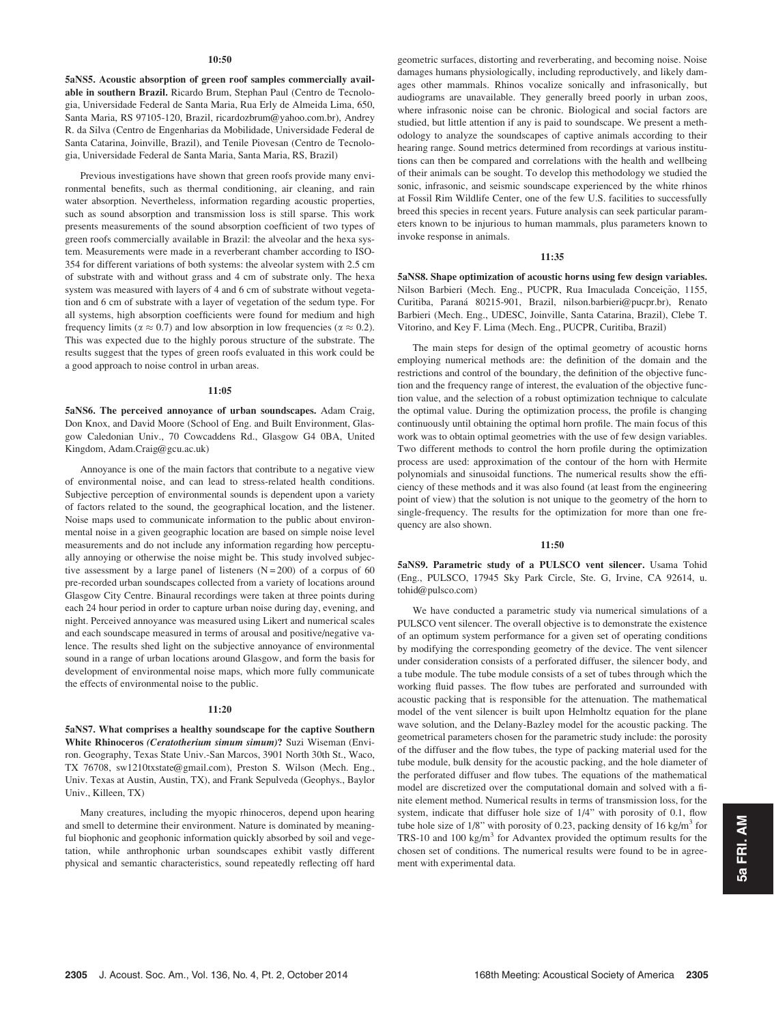#### $10:50$

5aNS5. Acoustic absorption of green roof samples commercially available in southern Brazil. Ricardo Brum, Stephan Paul (Centro de Tecnologia, Universidade Federal de Santa Maria, Rua Erly de Almeida Lima, 650, Santa Maria, RS 97105-120, Brazil, ricardozbrum@yahoo.com.br), Andrey R. da Silva (Centro de Engenharias da Mobilidade, Universidade Federal de Santa Catarina, Joinville, Brazil), and Tenile Piovesan (Centro de Tecnologia, Universidade Federal de Santa Maria, Santa Maria, RS, Brazil)

Previous investigations have shown that green roofs provide many environmental benefits, such as thermal conditioning, air cleaning, and rain water absorption. Nevertheless, information regarding acoustic properties, such as sound absorption and transmission loss is still sparse. This work presents measurements of the sound absorption coefficient of two types of green roofs commercially available in Brazil: the alveolar and the hexa system. Measurements were made in a reverberant chamber according to ISO-354 for different variations of both systems: the alveolar system with 2.5 cm of substrate with and without grass and 4 cm of substrate only. The hexa system was measured with layers of 4 and 6 cm of substrate without vegetation and 6 cm of substrate with a layer of vegetation of the sedum type. For all systems, high absorption coefficients were found for medium and high frequency limits ( $\alpha \approx 0.7$ ) and low absorption in low frequencies ( $\alpha \approx 0.2$ ). This was expected due to the highly porous structure of the substrate. The results suggest that the types of green roofs evaluated in this work could be a good approach to noise control in urban areas.

### 11:05

5aNS6. The perceived annoyance of urban soundscapes. Adam Craig, Don Knox, and David Moore (School of Eng. and Built Environment, Glasgow Caledonian Univ., 70 Cowcaddens Rd., Glasgow G4 0BA, United Kingdom, Adam.Craig@gcu.ac.uk)

Annoyance is one of the main factors that contribute to a negative view of environmental noise, and can lead to stress-related health conditions. Subjective perception of environmental sounds is dependent upon a variety of factors related to the sound, the geographical location, and the listener. Noise maps used to communicate information to the public about environmental noise in a given geographic location are based on simple noise level measurements and do not include any information regarding how perceptually annoying or otherwise the noise might be. This study involved subjective assessment by a large panel of listeners  $(N = 200)$  of a corpus of 60 pre-recorded urban soundscapes collected from a variety of locations around Glasgow City Centre. Binaural recordings were taken at three points during each 24 hour period in order to capture urban noise during day, evening, and night. Perceived annoyance was measured using Likert and numerical scales and each soundscape measured in terms of arousal and positive/negative valence. The results shed light on the subjective annoyance of environmental sound in a range of urban locations around Glasgow, and form the basis for development of environmental noise maps, which more fully communicate the effects of environmental noise to the public.

#### 11:20

5aNS7. What comprises a healthy soundscape for the captive Southern White Rhinoceros *(Ceratotherium simum simum)*? Suzi Wiseman (Environ. Geography, Texas State Univ.-San Marcos, 3901 North 30th St., Waco, TX 76708, sw1210txstate@gmail.com), Preston S. Wilson (Mech. Eng., Univ. Texas at Austin, Austin, TX), and Frank Sepulveda (Geophys., Baylor Univ., Killeen, TX)

Many creatures, including the myopic rhinoceros, depend upon hearing and smell to determine their environment. Nature is dominated by meaningful biophonic and geophonic information quickly absorbed by soil and vegetation, while anthrophonic urban soundscapes exhibit vastly different physical and semantic characteristics, sound repeatedly reflecting off hard geometric surfaces, distorting and reverberating, and becoming noise. Noise damages humans physiologically, including reproductively, and likely damages other mammals. Rhinos vocalize sonically and infrasonically, but audiograms are unavailable. They generally breed poorly in urban zoos, where infrasonic noise can be chronic. Biological and social factors are studied, but little attention if any is paid to soundscape. We present a methodology to analyze the soundscapes of captive animals according to their hearing range. Sound metrics determined from recordings at various institutions can then be compared and correlations with the health and wellbeing of their animals can be sought. To develop this methodology we studied the sonic, infrasonic, and seismic soundscape experienced by the white rhinos at Fossil Rim Wildlife Center, one of the few U.S. facilities to successfully breed this species in recent years. Future analysis can seek particular parameters known to be injurious to human mammals, plus parameters known to invoke response in animals.

#### 11:35

5aNS8. Shape optimization of acoustic horns using few design variables. Nilson Barbieri (Mech. Eng., PUCPR, Rua Imaculada Conceição, 1155, Curitiba, Paraná 80215-901, Brazil, nilson.barbieri@pucpr.br), Renato Barbieri (Mech. Eng., UDESC, Joinville, Santa Catarina, Brazil), Clebe T. Vitorino, and Key F. Lima (Mech. Eng., PUCPR, Curitiba, Brazil)

The main steps for design of the optimal geometry of acoustic horns employing numerical methods are: the definition of the domain and the restrictions and control of the boundary, the definition of the objective function and the frequency range of interest, the evaluation of the objective function value, and the selection of a robust optimization technique to calculate the optimal value. During the optimization process, the profile is changing continuously until obtaining the optimal horn profile. The main focus of this work was to obtain optimal geometries with the use of few design variables. Two different methods to control the horn profile during the optimization process are used: approximation of the contour of the horn with Hermite polynomials and sinusoidal functions. The numerical results show the efficiency of these methods and it was also found (at least from the engineering point of view) that the solution is not unique to the geometry of the horn to single-frequency. The results for the optimization for more than one frequency are also shown.

#### 11:50

5aNS9. Parametric study of a PULSCO vent silencer. Usama Tohid (Eng., PULSCO, 17945 Sky Park Circle, Ste. G, Irvine, CA 92614, u. tohid@pulsco.com)

We have conducted a parametric study via numerical simulations of a PULSCO vent silencer. The overall objective is to demonstrate the existence of an optimum system performance for a given set of operating conditions by modifying the corresponding geometry of the device. The vent silencer under consideration consists of a perforated diffuser, the silencer body, and a tube module. The tube module consists of a set of tubes through which the working fluid passes. The flow tubes are perforated and surrounded with acoustic packing that is responsible for the attenuation. The mathematical model of the vent silencer is built upon Helmholtz equation for the plane wave solution, and the Delany-Bazley model for the acoustic packing. The geometrical parameters chosen for the parametric study include: the porosity of the diffuser and the flow tubes, the type of packing material used for the tube module, bulk density for the acoustic packing, and the hole diameter of the perforated diffuser and flow tubes. The equations of the mathematical model are discretized over the computational domain and solved with a finite element method. Numerical results in terms of transmission loss, for the system, indicate that diffuser hole size of 1/4" with porosity of 0.1, flow tube hole size of 1/8" with porosity of 0.23, packing density of 16 kg/m<sup>3</sup> for TRS-10 and 100 kg/ $m<sup>3</sup>$  for Advantex provided the optimum results for the chosen set of conditions. The numerical results were found to be in agreement with experimental data.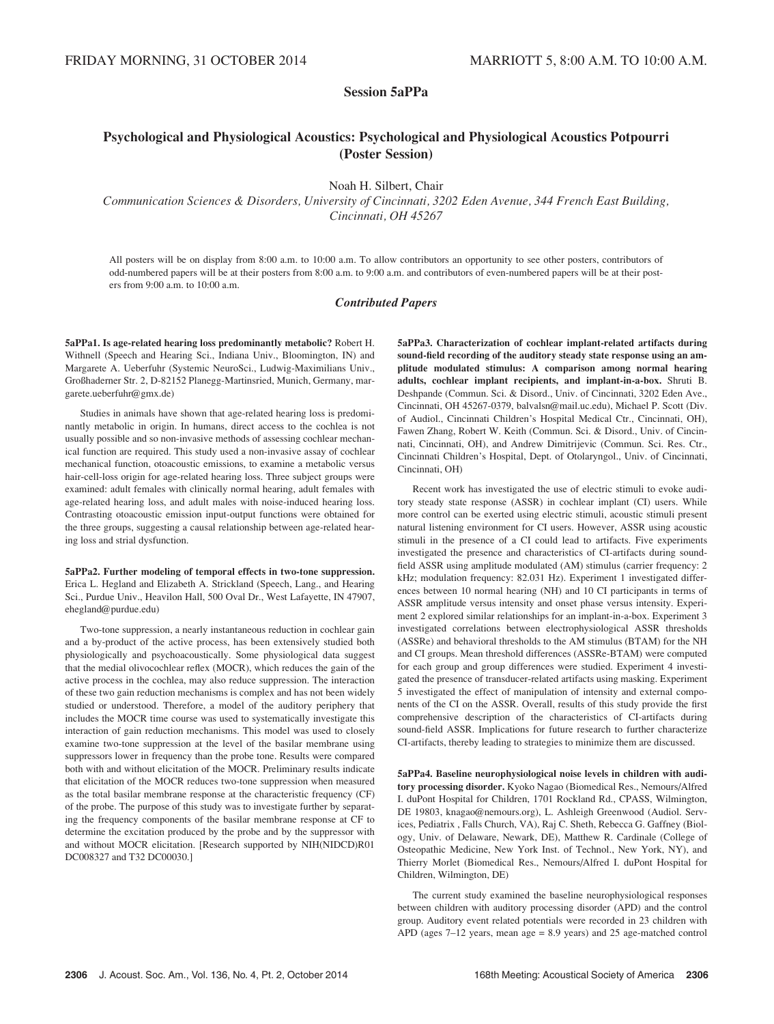# Session 5aPPa

# Psychological and Physiological Acoustics: Psychological and Physiological Acoustics Potpourri (Poster Session)

Noah H. Silbert, Chair

Communication Sciences & Disorders, University of Cincinnati, 3202 Eden Avenue, 344 French East Building, Cincinnati, OH 45267

All posters will be on display from 8:00 a.m. to 10:00 a.m. To allow contributors an opportunity to see other posters, contributors of odd-numbered papers will be at their posters from 8:00 a.m. to 9:00 a.m. and contributors of even-numbered papers will be at their posters from 9:00 a.m. to 10:00 a.m.

### Contributed Papers

5aPPa1. Is age-related hearing loss predominantly metabolic? Robert H. Withnell (Speech and Hearing Sci., Indiana Univ., Bloomington, IN) and Margarete A. Ueberfuhr (Systemic NeuroSci., Ludwig-Maximilians Univ., Großhaderner Str. 2, D-82152 Planegg-Martinsried, Munich, Germany, margarete.ueberfuhr@gmx.de)

Studies in animals have shown that age-related hearing loss is predominantly metabolic in origin. In humans, direct access to the cochlea is not usually possible and so non-invasive methods of assessing cochlear mechanical function are required. This study used a non-invasive assay of cochlear mechanical function, otoacoustic emissions, to examine a metabolic versus hair-cell-loss origin for age-related hearing loss. Three subject groups were examined: adult females with clinically normal hearing, adult females with age-related hearing loss, and adult males with noise-induced hearing loss. Contrasting otoacoustic emission input-output functions were obtained for the three groups, suggesting a causal relationship between age-related hearing loss and strial dysfunction.

5aPPa2. Further modeling of temporal effects in two-tone suppression. Erica L. Hegland and Elizabeth A. Strickland (Speech, Lang., and Hearing Sci., Purdue Univ., Heavilon Hall, 500 Oval Dr., West Lafayette, IN 47907, ehegland@purdue.edu)

Two-tone suppression, a nearly instantaneous reduction in cochlear gain and a by-product of the active process, has been extensively studied both physiologically and psychoacoustically. Some physiological data suggest that the medial olivocochlear reflex (MOCR), which reduces the gain of the active process in the cochlea, may also reduce suppression. The interaction of these two gain reduction mechanisms is complex and has not been widely studied or understood. Therefore, a model of the auditory periphery that includes the MOCR time course was used to systematically investigate this interaction of gain reduction mechanisms. This model was used to closely examine two-tone suppression at the level of the basilar membrane using suppressors lower in frequency than the probe tone. Results were compared both with and without elicitation of the MOCR. Preliminary results indicate that elicitation of the MOCR reduces two-tone suppression when measured as the total basilar membrane response at the characteristic frequency (CF) of the probe. The purpose of this study was to investigate further by separating the frequency components of the basilar membrane response at CF to determine the excitation produced by the probe and by the suppressor with and without MOCR elicitation. [Research supported by NIH(NIDCD)R01 DC008327 and T32 DC00030.]

5aPPa3. Characterization of cochlear implant-related artifacts during sound-field recording of the auditory steady state response using an amplitude modulated stimulus: A comparison among normal hearing adults, cochlear implant recipients, and implant-in-a-box. Shruti B. Deshpande (Commun. Sci. & Disord., Univ. of Cincinnati, 3202 Eden Ave., Cincinnati, OH 45267-0379, balvalsn@mail.uc.edu), Michael P. Scott (Div. of Audiol., Cincinnati Children's Hospital Medical Ctr., Cincinnati, OH), Fawen Zhang, Robert W. Keith (Commun. Sci. & Disord., Univ. of Cincinnati, Cincinnati, OH), and Andrew Dimitrijevic (Commun. Sci. Res. Ctr., Cincinnati Children's Hospital, Dept. of Otolaryngol., Univ. of Cincinnati, Cincinnati, OH)

Recent work has investigated the use of electric stimuli to evoke auditory steady state response (ASSR) in cochlear implant (CI) users. While more control can be exerted using electric stimuli, acoustic stimuli present natural listening environment for CI users. However, ASSR using acoustic stimuli in the presence of a CI could lead to artifacts. Five experiments investigated the presence and characteristics of CI-artifacts during soundfield ASSR using amplitude modulated (AM) stimulus (carrier frequency: 2 kHz; modulation frequency: 82.031 Hz). Experiment 1 investigated differences between 10 normal hearing (NH) and 10 CI participants in terms of ASSR amplitude versus intensity and onset phase versus intensity. Experiment 2 explored similar relationships for an implant-in-a-box. Experiment 3 investigated correlations between electrophysiological ASSR thresholds (ASSRe) and behavioral thresholds to the AM stimulus (BTAM) for the NH and CI groups. Mean threshold differences (ASSRe-BTAM) were computed for each group and group differences were studied. Experiment 4 investigated the presence of transducer-related artifacts using masking. Experiment 5 investigated the effect of manipulation of intensity and external components of the CI on the ASSR. Overall, results of this study provide the first comprehensive description of the characteristics of CI-artifacts during sound-field ASSR. Implications for future research to further characterize CI-artifacts, thereby leading to strategies to minimize them are discussed.

5aPPa4. Baseline neurophysiological noise levels in children with auditory processing disorder. Kyoko Nagao (Biomedical Res., Nemours/Alfred I. duPont Hospital for Children, 1701 Rockland Rd., CPASS, Wilmington, DE 19803, knagao@nemours.org), L. Ashleigh Greenwood (Audiol. Services, Pediatrix , Falls Church, VA), Raj C. Sheth, Rebecca G. Gaffney (Biology, Univ. of Delaware, Newark, DE), Matthew R. Cardinale (College of Osteopathic Medicine, New York Inst. of Technol., New York, NY), and Thierry Morlet (Biomedical Res., Nemours/Alfred I. duPont Hospital for Children, Wilmington, DE)

The current study examined the baseline neurophysiological responses between children with auditory processing disorder (APD) and the control group. Auditory event related potentials were recorded in 23 children with APD (ages 7–12 years, mean age = 8.9 years) and 25 age-matched control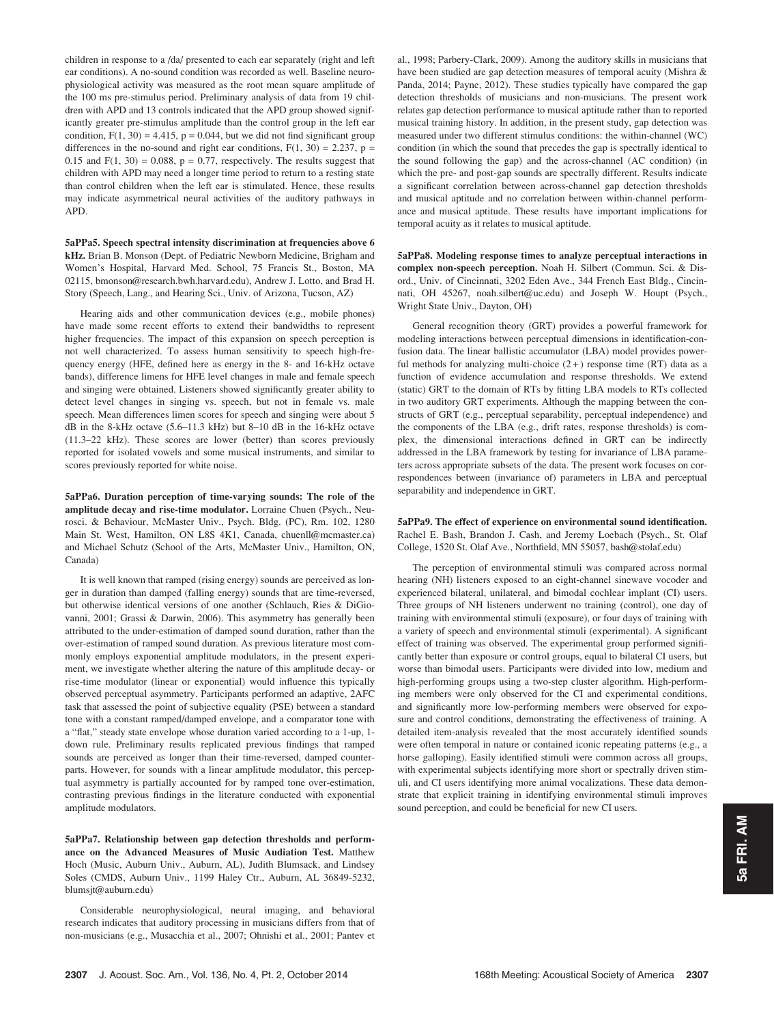children in response to a /da/ presented to each ear separately (right and left ear conditions). A no-sound condition was recorded as well. Baseline neurophysiological activity was measured as the root mean square amplitude of the 100 ms pre-stimulus period. Preliminary analysis of data from 19 children with APD and 13 controls indicated that the APD group showed significantly greater pre-stimulus amplitude than the control group in the left ear condition,  $F(1, 30) = 4.415$ ,  $p = 0.044$ , but we did not find significant group differences in the no-sound and right ear conditions,  $F(1, 30) = 2.237$ ,  $p =$ 0.15 and  $F(1, 30) = 0.088$ ,  $p = 0.77$ , respectively. The results suggest that children with APD may need a longer time period to return to a resting state than control children when the left ear is stimulated. Hence, these results may indicate asymmetrical neural activities of the auditory pathways in APD.

5aPPa5. Speech spectral intensity discrimination at frequencies above 6 kHz. Brian B. Monson (Dept. of Pediatric Newborn Medicine, Brigham and Women's Hospital, Harvard Med. School, 75 Francis St., Boston, MA 02115, bmonson@research.bwh.harvard.edu), Andrew J. Lotto, and Brad H. Story (Speech, Lang., and Hearing Sci., Univ. of Arizona, Tucson, AZ)

Hearing aids and other communication devices (e.g., mobile phones) have made some recent efforts to extend their bandwidths to represent higher frequencies. The impact of this expansion on speech perception is not well characterized. To assess human sensitivity to speech high-frequency energy (HFE, defined here as energy in the 8- and 16-kHz octave bands), difference limens for HFE level changes in male and female speech and singing were obtained. Listeners showed significantly greater ability to detect level changes in singing vs. speech, but not in female vs. male speech. Mean differences limen scores for speech and singing were about 5 dB in the 8-kHz octave (5.6–11.3 kHz) but 8–10 dB in the 16-kHz octave (11.3–22 kHz). These scores are lower (better) than scores previously reported for isolated vowels and some musical instruments, and similar to scores previously reported for white noise.

5aPPa6. Duration perception of time-varying sounds: The role of the amplitude decay and rise-time modulator. Lorraine Chuen (Psych., Neurosci. & Behaviour, McMaster Univ., Psych. Bldg. (PC), Rm. 102, 1280 Main St. West, Hamilton, ON L8S 4K1, Canada, chuenll@mcmaster.ca) and Michael Schutz (School of the Arts, McMaster Univ., Hamilton, ON, Canada)

It is well known that ramped (rising energy) sounds are perceived as longer in duration than damped (falling energy) sounds that are time-reversed, but otherwise identical versions of one another (Schlauch, Ries & DiGiovanni, 2001; Grassi & Darwin, 2006). This asymmetry has generally been attributed to the under-estimation of damped sound duration, rather than the over-estimation of ramped sound duration. As previous literature most commonly employs exponential amplitude modulators, in the present experiment, we investigate whether altering the nature of this amplitude decay- or rise-time modulator (linear or exponential) would influence this typically observed perceptual asymmetry. Participants performed an adaptive, 2AFC task that assessed the point of subjective equality (PSE) between a standard tone with a constant ramped/damped envelope, and a comparator tone with a "flat," steady state envelope whose duration varied according to a 1-up, 1 down rule. Preliminary results replicated previous findings that ramped sounds are perceived as longer than their time-reversed, damped counterparts. However, for sounds with a linear amplitude modulator, this perceptual asymmetry is partially accounted for by ramped tone over-estimation, contrasting previous findings in the literature conducted with exponential amplitude modulators.

5aPPa7. Relationship between gap detection thresholds and performance on the Advanced Measures of Music Audiation Test. Matthew Hoch (Music, Auburn Univ., Auburn, AL), Judith Blumsack, and Lindsey Soles (CMDS, Auburn Univ., 1199 Haley Ctr., Auburn, AL 36849-5232, blumsjt@auburn.edu)

Considerable neurophysiological, neural imaging, and behavioral research indicates that auditory processing in musicians differs from that of non-musicians (e.g., Musacchia et al., 2007; Ohnishi et al., 2001; Pantev et al., 1998; Parbery-Clark, 2009). Among the auditory skills in musicians that have been studied are gap detection measures of temporal acuity (Mishra & Panda, 2014; Payne, 2012). These studies typically have compared the gap detection thresholds of musicians and non-musicians. The present work relates gap detection performance to musical aptitude rather than to reported musical training history. In addition, in the present study, gap detection was measured under two different stimulus conditions: the within-channel (WC) condition (in which the sound that precedes the gap is spectrally identical to the sound following the gap) and the across-channel (AC condition) (in which the pre- and post-gap sounds are spectrally different. Results indicate a significant correlation between across-channel gap detection thresholds and musical aptitude and no correlation between within-channel performance and musical aptitude. These results have important implications for temporal acuity as it relates to musical aptitude.

5aPPa8. Modeling response times to analyze perceptual interactions in complex non-speech perception. Noah H. Silbert (Commun. Sci. & Disord., Univ. of Cincinnati, 3202 Eden Ave., 344 French East Bldg., Cincinnati, OH 45267, noah.silbert@uc.edu) and Joseph W. Houpt (Psych., Wright State Univ., Dayton, OH)

General recognition theory (GRT) provides a powerful framework for modeling interactions between perceptual dimensions in identification-confusion data. The linear ballistic accumulator (LBA) model provides powerful methods for analyzing multi-choice  $(2+)$  response time (RT) data as a function of evidence accumulation and response thresholds. We extend (static) GRT to the domain of RTs by fitting LBA models to RTs collected in two auditory GRT experiments. Although the mapping between the constructs of GRT (e.g., perceptual separability, perceptual independence) and the components of the LBA (e.g., drift rates, response thresholds) is complex, the dimensional interactions defined in GRT can be indirectly addressed in the LBA framework by testing for invariance of LBA parameters across appropriate subsets of the data. The present work focuses on correspondences between (invariance of) parameters in LBA and perceptual separability and independence in GRT.

5aPPa9. The effect of experience on environmental sound identification. Rachel E. Bash, Brandon J. Cash, and Jeremy Loebach (Psych., St. Olaf College, 1520 St. Olaf Ave., Northfield, MN 55057, bash@stolaf.edu)

The perception of environmental stimuli was compared across normal hearing (NH) listeners exposed to an eight-channel sinewave vocoder and experienced bilateral, unilateral, and bimodal cochlear implant (CI) users. Three groups of NH listeners underwent no training (control), one day of training with environmental stimuli (exposure), or four days of training with a variety of speech and environmental stimuli (experimental). A significant effect of training was observed. The experimental group performed significantly better than exposure or control groups, equal to bilateral CI users, but worse than bimodal users. Participants were divided into low, medium and high-performing groups using a two-step cluster algorithm. High-performing members were only observed for the CI and experimental conditions, and significantly more low-performing members were observed for exposure and control conditions, demonstrating the effectiveness of training. A detailed item-analysis revealed that the most accurately identified sounds were often temporal in nature or contained iconic repeating patterns (e.g., a horse galloping). Easily identified stimuli were common across all groups, with experimental subjects identifying more short or spectrally driven stimuli, and CI users identifying more animal vocalizations. These data demonstrate that explicit training in identifying environmental stimuli improves sound perception, and could be beneficial for new CI users.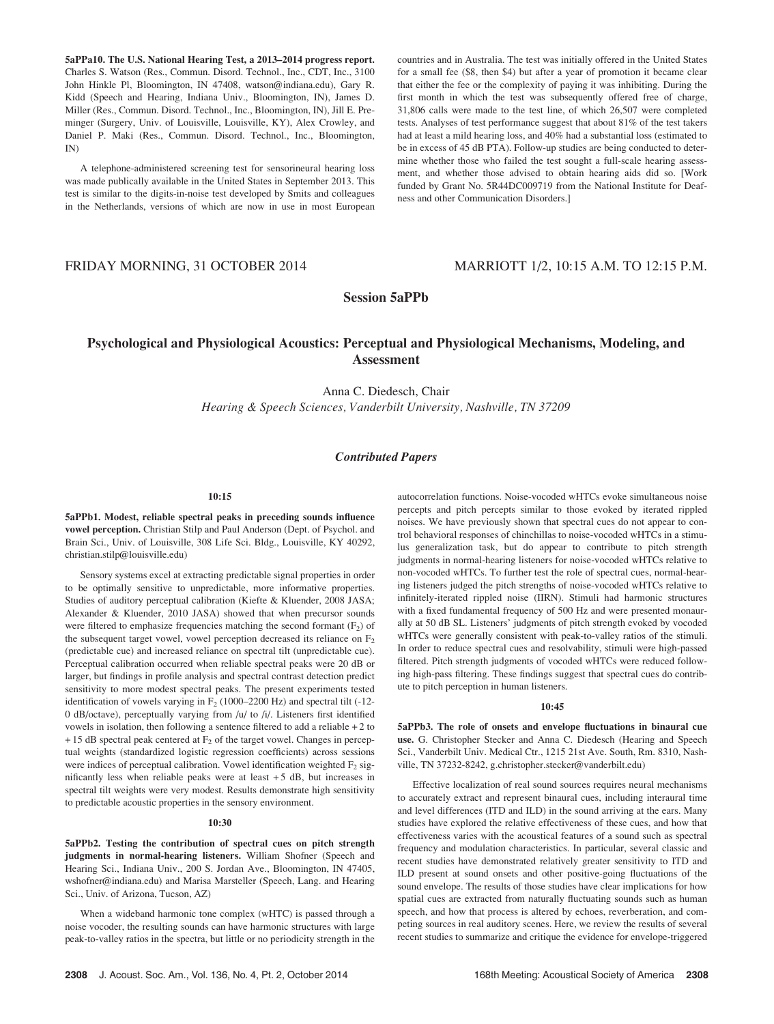5aPPa10. The U.S. National Hearing Test, a 2013–2014 progress report. Charles S. Watson (Res., Commun. Disord. Technol., Inc., CDT, Inc., 3100 John Hinkle Pl, Bloomington, IN 47408, watson@indiana.edu), Gary R. Kidd (Speech and Hearing, Indiana Univ., Bloomington, IN), James D. Miller (Res., Commun. Disord. Technol., Inc., Bloomington, IN), Jill E. Preminger (Surgery, Univ. of Louisville, Louisville, KY), Alex Crowley, and Daniel P. Maki (Res., Commun. Disord. Technol., Inc., Bloomington, IN)

A telephone-administered screening test for sensorineural hearing loss was made publically available in the United States in September 2013. This test is similar to the digits-in-noise test developed by Smits and colleagues in the Netherlands, versions of which are now in use in most European countries and in Australia. The test was initially offered in the United States for a small fee (\$8, then \$4) but after a year of promotion it became clear that either the fee or the complexity of paying it was inhibiting. During the first month in which the test was subsequently offered free of charge, 31,806 calls were made to the test line, of which 26,507 were completed tests. Analyses of test performance suggest that about 81% of the test takers had at least a mild hearing loss, and 40% had a substantial loss (estimated to be in excess of 45 dB PTA). Follow-up studies are being conducted to determine whether those who failed the test sought a full-scale hearing assessment, and whether those advised to obtain hearing aids did so. [Work funded by Grant No. 5R44DC009719 from the National Institute for Deafness and other Communication Disorders.]

# FRIDAY MORNING, 31 OCTOBER 2014 MARRIOTT 1/2, 10:15 A.M. TO 12:15 P.M.

# Session 5aPPb

# Psychological and Physiological Acoustics: Perceptual and Physiological Mechanisms, Modeling, and Assessment

Anna C. Diedesch, Chair Hearing & Speech Sciences, Vanderbilt University, Nashville, TN 37209

# Contributed Papers

#### 10:15

5aPPb1. Modest, reliable spectral peaks in preceding sounds influence vowel perception. Christian Stilp and Paul Anderson (Dept. of Psychol. and Brain Sci., Univ. of Louisville, 308 Life Sci. Bldg., Louisville, KY 40292, christian.stilp@louisville.edu)

Sensory systems excel at extracting predictable signal properties in order to be optimally sensitive to unpredictable, more informative properties. Studies of auditory perceptual calibration (Kiefte & Kluender, 2008 JASA; Alexander & Kluender, 2010 JASA) showed that when precursor sounds were filtered to emphasize frequencies matching the second formant  $(F_2)$  of the subsequent target vowel, vowel perception decreased its reliance on  $F<sub>2</sub>$ (predictable cue) and increased reliance on spectral tilt (unpredictable cue). Perceptual calibration occurred when reliable spectral peaks were 20 dB or larger, but findings in profile analysis and spectral contrast detection predict sensitivity to more modest spectral peaks. The present experiments tested identification of vowels varying in  $F_2$  (1000–2200 Hz) and spectral tilt (-12-0 dB/octave), perceptually varying from /u/ to /i/. Listeners first identified vowels in isolation, then following a sentence filtered to add a reliable + 2 to  $+ 15$  dB spectral peak centered at  $F_2$  of the target vowel. Changes in perceptual weights (standardized logistic regression coefficients) across sessions were indices of perceptual calibration. Vowel identification weighted  $F_2$  significantly less when reliable peaks were at least + 5 dB, but increases in spectral tilt weights were very modest. Results demonstrate high sensitivity to predictable acoustic properties in the sensory environment.

#### 10:30

5aPPb2. Testing the contribution of spectral cues on pitch strength judgments in normal-hearing listeners. William Shofner (Speech and Hearing Sci., Indiana Univ., 200 S. Jordan Ave., Bloomington, IN 47405, wshofner@indiana.edu) and Marisa Marsteller (Speech, Lang. and Hearing Sci., Univ. of Arizona, Tucson, AZ)

When a wideband harmonic tone complex (wHTC) is passed through a noise vocoder, the resulting sounds can have harmonic structures with large peak-to-valley ratios in the spectra, but little or no periodicity strength in the autocorrelation functions. Noise-vocoded wHTCs evoke simultaneous noise percepts and pitch percepts similar to those evoked by iterated rippled noises. We have previously shown that spectral cues do not appear to control behavioral responses of chinchillas to noise-vocoded wHTCs in a stimulus generalization task, but do appear to contribute to pitch strength judgments in normal-hearing listeners for noise-vocoded wHTCs relative to non-vocoded wHTCs. To further test the role of spectral cues, normal-hearing listeners judged the pitch strengths of noise-vocoded wHTCs relative to infinitely-iterated rippled noise (IIRN). Stimuli had harmonic structures with a fixed fundamental frequency of 500 Hz and were presented monaurally at 50 dB SL. Listeners' judgments of pitch strength evoked by vocoded wHTCs were generally consistent with peak-to-valley ratios of the stimuli. In order to reduce spectral cues and resolvability, stimuli were high-passed filtered. Pitch strength judgments of vocoded wHTCs were reduced following high-pass filtering. These findings suggest that spectral cues do contribute to pitch perception in human listeners.

### 10:45

5aPPb3. The role of onsets and envelope fluctuations in binaural cue use. G. Christopher Stecker and Anna C. Diedesch (Hearing and Speech Sci., Vanderbilt Univ. Medical Ctr., 1215 21st Ave. South, Rm. 8310, Nashville, TN 37232-8242, g.christopher.stecker@vanderbilt.edu)

Effective localization of real sound sources requires neural mechanisms to accurately extract and represent binaural cues, including interaural time and level differences (ITD and ILD) in the sound arriving at the ears. Many studies have explored the relative effectiveness of these cues, and how that effectiveness varies with the acoustical features of a sound such as spectral frequency and modulation characteristics. In particular, several classic and recent studies have demonstrated relatively greater sensitivity to ITD and ILD present at sound onsets and other positive-going fluctuations of the sound envelope. The results of those studies have clear implications for how spatial cues are extracted from naturally fluctuating sounds such as human speech, and how that process is altered by echoes, reverberation, and competing sources in real auditory scenes. Here, we review the results of several recent studies to summarize and critique the evidence for envelope-triggered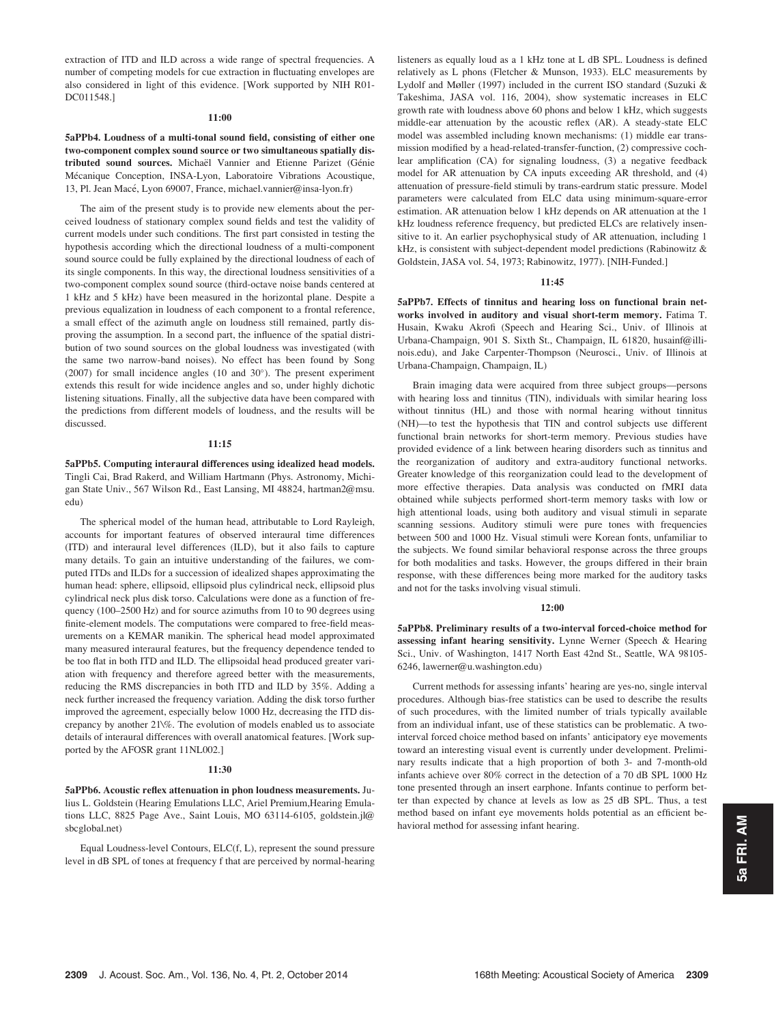extraction of ITD and ILD across a wide range of spectral frequencies. A number of competing models for cue extraction in fluctuating envelopes are also considered in light of this evidence. [Work supported by NIH R01- DC011548.]

### $11:00$

5aPPb4. Loudness of a multi-tonal sound field, consisting of either one two-component complex sound source or two simultaneous spatially distributed sound sources. Michaël Vannier and Etienne Parizet (Génie Mécanique Conception, INSA-Lyon, Laboratoire Vibrations Acoustique, 13, Pl. Jean Macé, Lyon 69007, France, michael.vannier@insa-lyon.fr)

The aim of the present study is to provide new elements about the perceived loudness of stationary complex sound fields and test the validity of current models under such conditions. The first part consisted in testing the hypothesis according which the directional loudness of a multi-component sound source could be fully explained by the directional loudness of each of its single components. In this way, the directional loudness sensitivities of a two-component complex sound source (third-octave noise bands centered at 1 kHz and 5 kHz) have been measured in the horizontal plane. Despite a previous equalization in loudness of each component to a frontal reference, a small effect of the azimuth angle on loudness still remained, partly disproving the assumption. In a second part, the influence of the spatial distribution of two sound sources on the global loudness was investigated (with the same two narrow-band noises). No effect has been found by Song (2007) for small incidence angles (10 and  $30^{\circ}$ ). The present experiment extends this result for wide incidence angles and so, under highly dichotic listening situations. Finally, all the subjective data have been compared with the predictions from different models of loudness, and the results will be discussed.

#### 11:15

5aPPb5. Computing interaural differences using idealized head models. Tingli Cai, Brad Rakerd, and William Hartmann (Phys. Astronomy, Michigan State Univ., 567 Wilson Rd., East Lansing, MI 48824, hartman2@msu. edu)

The spherical model of the human head, attributable to Lord Rayleigh, accounts for important features of observed interaural time differences (ITD) and interaural level differences (ILD), but it also fails to capture many details. To gain an intuitive understanding of the failures, we computed ITDs and ILDs for a succession of idealized shapes approximating the human head: sphere, ellipsoid, ellipsoid plus cylindrical neck, ellipsoid plus cylindrical neck plus disk torso. Calculations were done as a function of frequency (100–2500 Hz) and for source azimuths from 10 to 90 degrees using finite-element models. The computations were compared to free-field measurements on a KEMAR manikin. The spherical head model approximated many measured interaural features, but the frequency dependence tended to be too flat in both ITD and ILD. The ellipsoidal head produced greater variation with frequency and therefore agreed better with the measurements, reducing the RMS discrepancies in both ITD and ILD by 35%. Adding a neck further increased the frequency variation. Adding the disk torso further improved the agreement, especially below 1000 Hz, decreasing the ITD discrepancy by another 21\%. The evolution of models enabled us to associate details of interaural differences with overall anatomical features. [Work supported by the AFOSR grant 11NL002.]

### 11:30

5aPPb6. Acoustic reflex attenuation in phon loudness measurements. Julius L. Goldstein (Hearing Emulations LLC, Ariel Premium,Hearing Emulations LLC, 8825 Page Ave., Saint Louis, MO 63114-6105, goldstein.jl@ sbcglobal.net)

Equal Loudness-level Contours, ELC(f, L), represent the sound pressure level in dB SPL of tones at frequency f that are perceived by normal-hearing listeners as equally loud as a 1 kHz tone at L dB SPL. Loudness is defined relatively as L phons (Fletcher & Munson, 1933). ELC measurements by Lydolf and Møller (1997) included in the current ISO standard (Suzuki & Takeshima, JASA vol. 116, 2004), show systematic increases in ELC growth rate with loudness above 60 phons and below 1 kHz, which suggests middle-ear attenuation by the acoustic reflex (AR). A steady-state ELC model was assembled including known mechanisms: (1) middle ear transmission modified by a head-related-transfer-function, (2) compressive cochlear amplification (CA) for signaling loudness, (3) a negative feedback model for AR attenuation by CA inputs exceeding AR threshold, and (4) attenuation of pressure-field stimuli by trans-eardrum static pressure. Model parameters were calculated from ELC data using minimum-square-error estimation. AR attenuation below 1 kHz depends on AR attenuation at the 1 kHz loudness reference frequency, but predicted ELCs are relatively insensitive to it. An earlier psychophysical study of AR attenuation, including 1 kHz, is consistent with subject-dependent model predictions (Rabinowitz & Goldstein, JASA vol. 54, 1973; Rabinowitz, 1977). [NIH-Funded.]

#### 11:45

5aPPb7. Effects of tinnitus and hearing loss on functional brain networks involved in auditory and visual short-term memory. Fatima T. Husain, Kwaku Akrofi (Speech and Hearing Sci., Univ. of Illinois at Urbana-Champaign, 901 S. Sixth St., Champaign, IL 61820, husainf@illinois.edu), and Jake Carpenter-Thompson (Neurosci., Univ. of Illinois at Urbana-Champaign, Champaign, IL)

Brain imaging data were acquired from three subject groups—persons with hearing loss and tinnitus (TIN), individuals with similar hearing loss without tinnitus (HL) and those with normal hearing without tinnitus (NH)—to test the hypothesis that TIN and control subjects use different functional brain networks for short-term memory. Previous studies have provided evidence of a link between hearing disorders such as tinnitus and the reorganization of auditory and extra-auditory functional networks. Greater knowledge of this reorganization could lead to the development of more effective therapies. Data analysis was conducted on fMRI data obtained while subjects performed short-term memory tasks with low or high attentional loads, using both auditory and visual stimuli in separate scanning sessions. Auditory stimuli were pure tones with frequencies between 500 and 1000 Hz. Visual stimuli were Korean fonts, unfamiliar to the subjects. We found similar behavioral response across the three groups for both modalities and tasks. However, the groups differed in their brain response, with these differences being more marked for the auditory tasks and not for the tasks involving visual stimuli.

### 12:00

5aPPb8. Preliminary results of a two-interval forced-choice method for assessing infant hearing sensitivity. Lynne Werner (Speech & Hearing Sci., Univ. of Washington, 1417 North East 42nd St., Seattle, WA 98105- 6246, lawerner@u.washington.edu)

Current methods for assessing infants' hearing are yes-no, single interval procedures. Although bias-free statistics can be used to describe the results of such procedures, with the limited number of trials typically available from an individual infant, use of these statistics can be problematic. A twointerval forced choice method based on infants' anticipatory eye movements toward an interesting visual event is currently under development. Preliminary results indicate that a high proportion of both 3- and 7-month-old infants achieve over 80% correct in the detection of a 70 dB SPL 1000 Hz tone presented through an insert earphone. Infants continue to perform better than expected by chance at levels as low as 25 dB SPL. Thus, a test method based on infant eye movements holds potential as an efficient behavioral method for assessing infant hearing.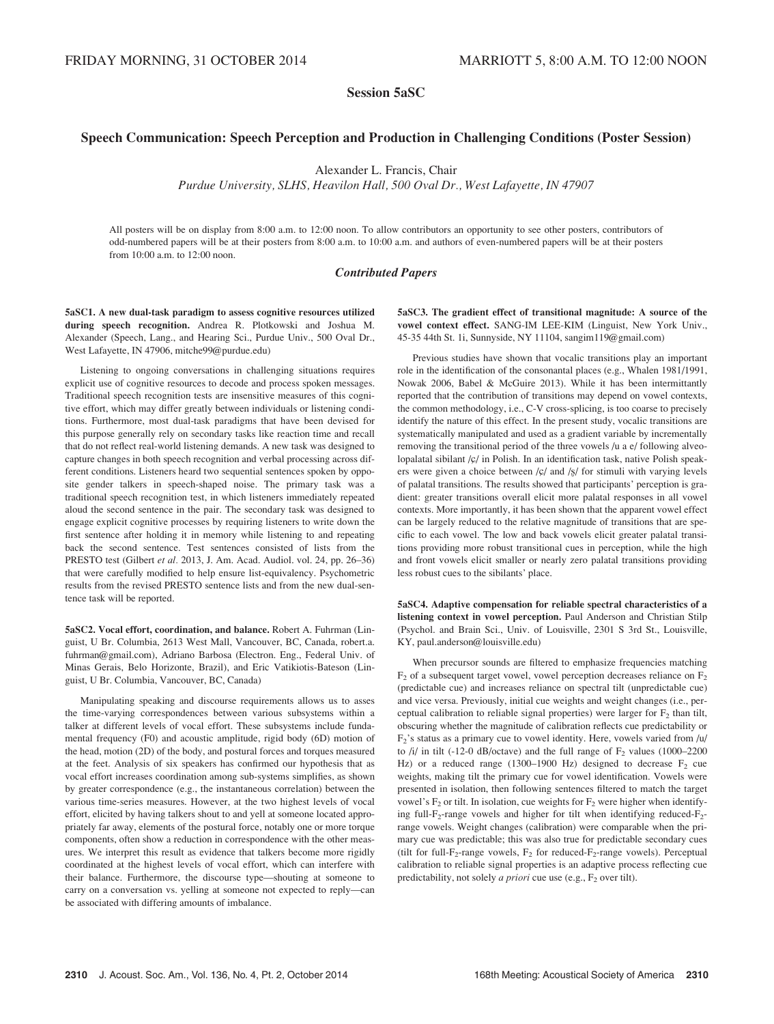Session 5aSC

# Speech Communication: Speech Perception and Production in Challenging Conditions (Poster Session)

Alexander L. Francis, Chair

Purdue University, SLHS, Heavilon Hall, 500 Oval Dr., West Lafayette, IN 47907

All posters will be on display from 8:00 a.m. to 12:00 noon. To allow contributors an opportunity to see other posters, contributors of odd-numbered papers will be at their posters from 8:00 a.m. to 10:00 a.m. and authors of even-numbered papers will be at their posters from 10:00 a.m. to 12:00 noon.

## Contributed Papers

5aSC1. A new dual-task paradigm to assess cognitive resources utilized during speech recognition. Andrea R. Plotkowski and Joshua M. Alexander (Speech, Lang., and Hearing Sci., Purdue Univ., 500 Oval Dr., West Lafayette, IN 47906, mitche99@purdue.edu)

Listening to ongoing conversations in challenging situations requires explicit use of cognitive resources to decode and process spoken messages. Traditional speech recognition tests are insensitive measures of this cognitive effort, which may differ greatly between individuals or listening conditions. Furthermore, most dual-task paradigms that have been devised for this purpose generally rely on secondary tasks like reaction time and recall that do not reflect real-world listening demands. A new task was designed to capture changes in both speech recognition and verbal processing across different conditions. Listeners heard two sequential sentences spoken by opposite gender talkers in speech-shaped noise. The primary task was a traditional speech recognition test, in which listeners immediately repeated aloud the second sentence in the pair. The secondary task was designed to engage explicit cognitive processes by requiring listeners to write down the first sentence after holding it in memory while listening to and repeating back the second sentence. Test sentences consisted of lists from the PRESTO test (Gilbert et al. 2013, J. Am. Acad. Audiol. vol. 24, pp. 26–36) that were carefully modified to help ensure list-equivalency. Psychometric results from the revised PRESTO sentence lists and from the new dual-sentence task will be reported.

5aSC2. Vocal effort, coordination, and balance. Robert A. Fuhrman (Linguist, U Br. Columbia, 2613 West Mall, Vancouver, BC, Canada, robert.a. fuhrman@gmail.com), Adriano Barbosa (Electron. Eng., Federal Univ. of Minas Gerais, Belo Horizonte, Brazil), and Eric Vatikiotis-Bateson (Linguist, U Br. Columbia, Vancouver, BC, Canada)

Manipulating speaking and discourse requirements allows us to asses the time-varying correspondences between various subsystems within a talker at different levels of vocal effort. These subsystems include fundamental frequency (F0) and acoustic amplitude, rigid body (6D) motion of the head, motion (2D) of the body, and postural forces and torques measured at the feet. Analysis of six speakers has confirmed our hypothesis that as vocal effort increases coordination among sub-systems simplifies, as shown by greater correspondence (e.g., the instantaneous correlation) between the various time-series measures. However, at the two highest levels of vocal effort, elicited by having talkers shout to and yell at someone located appropriately far away, elements of the postural force, notably one or more torque components, often show a reduction in correspondence with the other measures. We interpret this result as evidence that talkers become more rigidly coordinated at the highest levels of vocal effort, which can interfere with their balance. Furthermore, the discourse type—shouting at someone to carry on a conversation vs. yelling at someone not expected to reply—can be associated with differing amounts of imbalance.

5aSC3. The gradient effect of transitional magnitude: A source of the vowel context effect. SANG-IM LEE-KIM (Linguist, New York Univ., 45-35 44th St. 1i, Sunnyside, NY 11104, sangim119@gmail.com)

Previous studies have shown that vocalic transitions play an important role in the identification of the consonantal places (e.g., Whalen 1981/1991, Nowak 2006, Babel & McGuire 2013). While it has been intermittantly reported that the contribution of transitions may depend on vowel contexts, the common methodology, i.e., C-V cross-splicing, is too coarse to precisely identify the nature of this effect. In the present study, vocalic transitions are systematically manipulated and used as a gradient variable by incrementally removing the transitional period of the three vowels /u a e/ following alveolopalatal sibilant  $\sqrt{c}$  in Polish. In an identification task, native Polish speakers were given a choice between  $\sqrt{\frac{c}{m}}$  and  $\sqrt{\frac{c}{m}}$  for stimuli with varying levels of palatal transitions. The results showed that participants' perception is gradient: greater transitions overall elicit more palatal responses in all vowel contexts. More importantly, it has been shown that the apparent vowel effect can be largely reduced to the relative magnitude of transitions that are specific to each vowel. The low and back vowels elicit greater palatal transitions providing more robust transitional cues in perception, while the high and front vowels elicit smaller or nearly zero palatal transitions providing less robust cues to the sibilants' place.

5aSC4. Adaptive compensation for reliable spectral characteristics of a listening context in vowel perception. Paul Anderson and Christian Stilp (Psychol. and Brain Sci., Univ. of Louisville, 2301 S 3rd St., Louisville, KY, paul.anderson@louisville.edu)

When precursor sounds are filtered to emphasize frequencies matching  $F_2$  of a subsequent target vowel, vowel perception decreases reliance on  $F_2$ (predictable cue) and increases reliance on spectral tilt (unpredictable cue) and vice versa. Previously, initial cue weights and weight changes (i.e., perceptual calibration to reliable signal properties) were larger for  $F_2$  than tilt, obscuring whether the magnitude of calibration reflects cue predictability or  $F_2$ 's status as a primary cue to vowel identity. Here, vowels varied from /u/ to  $\frac{1}{l}$  in tilt (-12-0 dB/octave) and the full range of  $F_2$  values (1000–2200 Hz) or a reduced range (1300–1900 Hz) designed to decrease  $F_2$  cue weights, making tilt the primary cue for vowel identification. Vowels were presented in isolation, then following sentences filtered to match the target vowel's  $F_2$  or tilt. In isolation, cue weights for  $F_2$  were higher when identifying full- $F_2$ -range vowels and higher for tilt when identifying reduced- $F_2$ range vowels. Weight changes (calibration) were comparable when the primary cue was predictable; this was also true for predictable secondary cues (tilt for full-F<sub>2</sub>-range vowels, F<sub>2</sub> for reduced-F<sub>2</sub>-range vowels). Perceptual calibration to reliable signal properties is an adaptive process reflecting cue predictability, not solely *a priori* cue use (e.g.,  $F_2$  over tilt).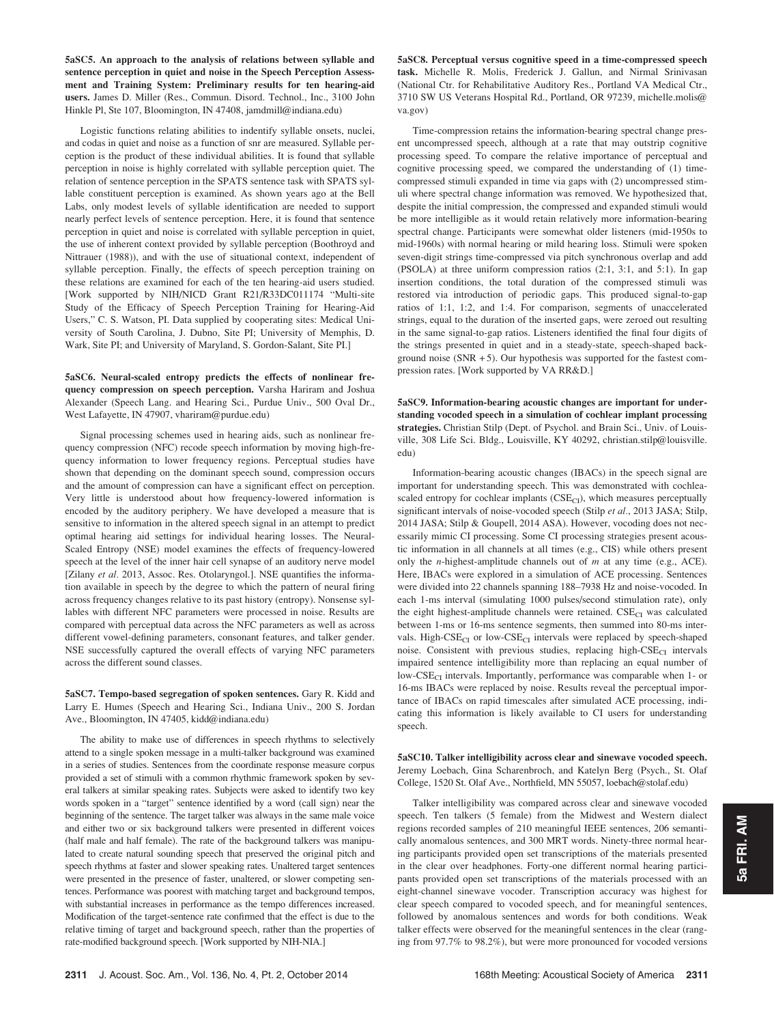5aSC5. An approach to the analysis of relations between syllable and sentence perception in quiet and noise in the Speech Perception Assessment and Training System: Preliminary results for ten hearing-aid users. James D. Miller (Res., Commun. Disord. Technol., Inc., 3100 John Hinkle Pl, Ste 107, Bloomington, IN 47408, jamdmill@indiana.edu)

Logistic functions relating abilities to indentify syllable onsets, nuclei, and codas in quiet and noise as a function of snr are measured. Syllable perception is the product of these individual abilities. It is found that syllable perception in noise is highly correlated with syllable perception quiet. The relation of sentence perception in the SPATS sentence task with SPATS syllable constituent perception is examined. As shown years ago at the Bell Labs, only modest levels of syllable identification are needed to support nearly perfect levels of sentence perception. Here, it is found that sentence perception in quiet and noise is correlated with syllable perception in quiet, the use of inherent context provided by syllable perception (Boothroyd and Nittrauer (1988)), and with the use of situational context, independent of syllable perception. Finally, the effects of speech perception training on these relations are examined for each of the ten hearing-aid users studied. [Work supported by NIH/NICD Grant R21/R33DC011174 "Multi-site Study of the Efficacy of Speech Perception Training for Hearing-Aid Users," C. S. Watson, PI. Data supplied by cooperating sites: Medical University of South Carolina, J. Dubno, Site PI; University of Memphis, D. Wark, Site PI; and University of Maryland, S. Gordon-Salant, Site PI.]

5aSC6. Neural-scaled entropy predicts the effects of nonlinear frequency compression on speech perception. Varsha Hariram and Joshua Alexander (Speech Lang. and Hearing Sci., Purdue Univ., 500 Oval Dr., West Lafayette, IN 47907, vhariram@purdue.edu)

Signal processing schemes used in hearing aids, such as nonlinear frequency compression (NFC) recode speech information by moving high-frequency information to lower frequency regions. Perceptual studies have shown that depending on the dominant speech sound, compression occurs and the amount of compression can have a significant effect on perception. Very little is understood about how frequency-lowered information is encoded by the auditory periphery. We have developed a measure that is sensitive to information in the altered speech signal in an attempt to predict optimal hearing aid settings for individual hearing losses. The Neural-Scaled Entropy (NSE) model examines the effects of frequency-lowered speech at the level of the inner hair cell synapse of an auditory nerve model [Zilany et al. 2013, Assoc. Res. Otolaryngol.]. NSE quantifies the information available in speech by the degree to which the pattern of neural firing across frequency changes relative to its past history (entropy). Nonsense syllables with different NFC parameters were processed in noise. Results are compared with perceptual data across the NFC parameters as well as across different vowel-defining parameters, consonant features, and talker gender. NSE successfully captured the overall effects of varying NFC parameters across the different sound classes.

5aSC7. Tempo-based segregation of spoken sentences. Gary R. Kidd and Larry E. Humes (Speech and Hearing Sci., Indiana Univ., 200 S. Jordan Ave., Bloomington, IN 47405, kidd@indiana.edu)

The ability to make use of differences in speech rhythms to selectively attend to a single spoken message in a multi-talker background was examined in a series of studies. Sentences from the coordinate response measure corpus provided a set of stimuli with a common rhythmic framework spoken by several talkers at similar speaking rates. Subjects were asked to identify two key words spoken in a "target" sentence identified by a word (call sign) near the beginning of the sentence. The target talker was always in the same male voice and either two or six background talkers were presented in different voices (half male and half female). The rate of the background talkers was manipulated to create natural sounding speech that preserved the original pitch and speech rhythms at faster and slower speaking rates. Unaltered target sentences were presented in the presence of faster, unaltered, or slower competing sentences. Performance was poorest with matching target and background tempos, with substantial increases in performance as the tempo differences increased. Modification of the target-sentence rate confirmed that the effect is due to the relative timing of target and background speech, rather than the properties of rate-modified background speech. [Work supported by NIH-NIA.]

5aSC8. Perceptual versus cognitive speed in a time-compressed speech task. Michelle R. Molis, Frederick J. Gallun, and Nirmal Srinivasan (National Ctr. for Rehabilitative Auditory Res., Portland VA Medical Ctr., 3710 SW US Veterans Hospital Rd., Portland, OR 97239, michelle.molis@ va.gov)

Time-compression retains the information-bearing spectral change present uncompressed speech, although at a rate that may outstrip cognitive processing speed. To compare the relative importance of perceptual and cognitive processing speed, we compared the understanding of (1) timecompressed stimuli expanded in time via gaps with (2) uncompressed stimuli where spectral change information was removed. We hypothesized that, despite the initial compression, the compressed and expanded stimuli would be more intelligible as it would retain relatively more information-bearing spectral change. Participants were somewhat older listeners (mid-1950s to mid-1960s) with normal hearing or mild hearing loss. Stimuli were spoken seven-digit strings time-compressed via pitch synchronous overlap and add (PSOLA) at three uniform compression ratios (2:1, 3:1, and 5:1). In gap insertion conditions, the total duration of the compressed stimuli was restored via introduction of periodic gaps. This produced signal-to-gap ratios of 1:1, 1:2, and 1:4. For comparison, segments of unaccelerated strings, equal to the duration of the inserted gaps, were zeroed out resulting in the same signal-to-gap ratios. Listeners identified the final four digits of the strings presented in quiet and in a steady-state, speech-shaped background noise ( $SNR + 5$ ). Our hypothesis was supported for the fastest compression rates. [Work supported by VA RR&D.]

5aSC9. Information-bearing acoustic changes are important for understanding vocoded speech in a simulation of cochlear implant processing strategies. Christian Stilp (Dept. of Psychol. and Brain Sci., Univ. of Louisville, 308 Life Sci. Bldg., Louisville, KY 40292, christian.stilp@louisville. edu)

Information-bearing acoustic changes (IBACs) in the speech signal are important for understanding speech. This was demonstrated with cochleascaled entropy for cochlear implants  $(CSE<sub>CI</sub>)$ , which measures perceptually significant intervals of noise-vocoded speech (Stilp et al., 2013 JASA; Stilp, 2014 JASA; Stilp & Goupell, 2014 ASA). However, vocoding does not necessarily mimic CI processing. Some CI processing strategies present acoustic information in all channels at all times (e.g., CIS) while others present only the *n*-highest-amplitude channels out of  $m$  at any time (e.g., ACE). Here, IBACs were explored in a simulation of ACE processing. Sentences were divided into 22 channels spanning 188–7938 Hz and noise-vocoded. In each 1-ms interval (simulating 1000 pulses/second stimulation rate), only the eight highest-amplitude channels were retained.  $CSE<sub>CI</sub>$  was calculated between 1-ms or 16-ms sentence segments, then summed into 80-ms intervals. High-CSE<sub>CI</sub> or low-CSE<sub>CI</sub> intervals were replaced by speech-shaped noise. Consistent with previous studies, replacing high- $CSE<sub>CI</sub>$  intervals impaired sentence intelligibility more than replacing an equal number of low-CSE<sub>CI</sub> intervals. Importantly, performance was comparable when 1- or 16-ms IBACs were replaced by noise. Results reveal the perceptual importance of IBACs on rapid timescales after simulated ACE processing, indicating this information is likely available to CI users for understanding speech.

5aSC10. Talker intelligibility across clear and sinewave vocoded speech. Jeremy Loebach, Gina Scharenbroch, and Katelyn Berg (Psych., St. Olaf College, 1520 St. Olaf Ave., Northfield, MN 55057, loebach@stolaf.edu)

Talker intelligibility was compared across clear and sinewave vocoded speech. Ten talkers (5 female) from the Midwest and Western dialect regions recorded samples of 210 meaningful IEEE sentences, 206 semantically anomalous sentences, and 300 MRT words. Ninety-three normal hearing participants provided open set transcriptions of the materials presented in the clear over headphones. Forty-one different normal hearing participants provided open set transcriptions of the materials processed with an eight-channel sinewave vocoder. Transcription accuracy was highest for clear speech compared to vocoded speech, and for meaningful sentences, followed by anomalous sentences and words for both conditions. Weak talker effects were observed for the meaningful sentences in the clear (ranging from 97.7% to 98.2%), but were more pronounced for vocoded versions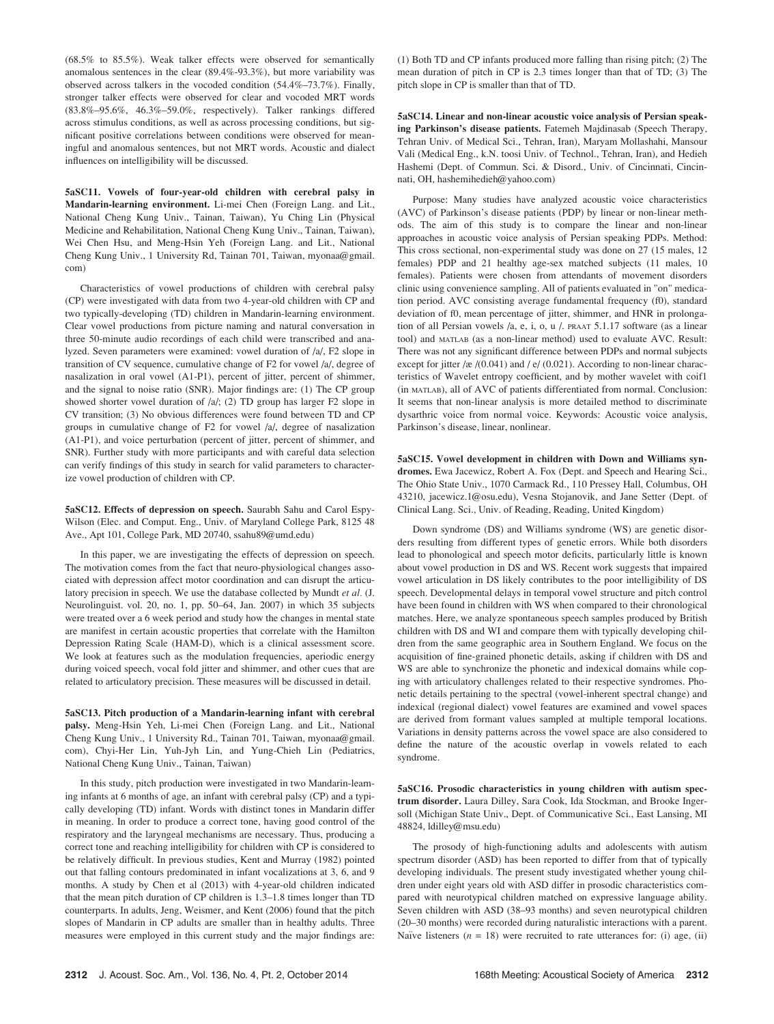(68.5% to 85.5%). Weak talker effects were observed for semantically anomalous sentences in the clear (89.4%-93.3%), but more variability was observed across talkers in the vocoded condition (54.4%–73.7%). Finally, stronger talker effects were observed for clear and vocoded MRT words (83.8%–95.6%, 46.3%–59.0%, respectively). Talker rankings differed across stimulus conditions, as well as across processing conditions, but significant positive correlations between conditions were observed for meaningful and anomalous sentences, but not MRT words. Acoustic and dialect influences on intelligibility will be discussed.

5aSC11. Vowels of four-year-old children with cerebral palsy in Mandarin-learning environment. Li-mei Chen (Foreign Lang. and Lit., National Cheng Kung Univ., Tainan, Taiwan), Yu Ching Lin (Physical Medicine and Rehabilitation, National Cheng Kung Univ., Tainan, Taiwan), Wei Chen Hsu, and Meng-Hsin Yeh (Foreign Lang. and Lit., National Cheng Kung Univ., 1 University Rd, Tainan 701, Taiwan, myonaa@gmail. com)

Characteristics of vowel productions of children with cerebral palsy (CP) were investigated with data from two 4-year-old children with CP and two typically-developing (TD) children in Mandarin-learning environment. Clear vowel productions from picture naming and natural conversation in three 50-minute audio recordings of each child were transcribed and analyzed. Seven parameters were examined: vowel duration of /a/, F2 slope in transition of CV sequence, cumulative change of F2 for vowel /a/, degree of nasalization in oral vowel (A1-P1), percent of jitter, percent of shimmer, and the signal to noise ratio (SNR). Major findings are: (1) The CP group showed shorter vowel duration of /a/; (2) TD group has larger F2 slope in CV transition; (3) No obvious differences were found between TD and CP groups in cumulative change of F2 for vowel /a/, degree of nasalization (A1-P1), and voice perturbation (percent of jitter, percent of shimmer, and SNR). Further study with more participants and with careful data selection can verify findings of this study in search for valid parameters to characterize vowel production of children with CP.

5aSC12. Effects of depression on speech. Saurabh Sahu and Carol Espy-Wilson (Elec. and Comput. Eng., Univ. of Maryland College Park, 8125 48 Ave., Apt 101, College Park, MD 20740, ssahu89@umd.edu)

In this paper, we are investigating the effects of depression on speech. The motivation comes from the fact that neuro-physiological changes associated with depression affect motor coordination and can disrupt the articulatory precision in speech. We use the database collected by Mundt et al. (J. Neurolinguist. vol. 20, no. 1, pp. 50–64, Jan. 2007) in which 35 subjects were treated over a 6 week period and study how the changes in mental state are manifest in certain acoustic properties that correlate with the Hamilton Depression Rating Scale (HAM-D), which is a clinical assessment score. We look at features such as the modulation frequencies, aperiodic energy during voiced speech, vocal fold jitter and shimmer, and other cues that are related to articulatory precision. These measures will be discussed in detail.

5aSC13. Pitch production of a Mandarin-learning infant with cerebral palsy. Meng-Hsin Yeh, Li-mei Chen (Foreign Lang. and Lit., National Cheng Kung Univ., 1 University Rd., Tainan 701, Taiwan, myonaa@gmail. com), Chyi-Her Lin, Yuh-Jyh Lin, and Yung-Chieh Lin (Pediatrics, National Cheng Kung Univ., Tainan, Taiwan)

In this study, pitch production were investigated in two Mandarin-learning infants at 6 months of age, an infant with cerebral palsy (CP) and a typically developing (TD) infant. Words with distinct tones in Mandarin differ in meaning. In order to produce a correct tone, having good control of the respiratory and the laryngeal mechanisms are necessary. Thus, producing a correct tone and reaching intelligibility for children with CP is considered to be relatively difficult. In previous studies, Kent and Murray (1982) pointed out that falling contours predominated in infant vocalizations at 3, 6, and 9 months. A study by Chen et al (2013) with 4-year-old children indicated that the mean pitch duration of CP children is 1.3–1.8 times longer than TD counterparts. In adults, Jeng, Weismer, and Kent (2006) found that the pitch slopes of Mandarin in CP adults are smaller than in healthy adults. Three measures were employed in this current study and the major findings are: (1) Both TD and CP infants produced more falling than rising pitch; (2) The mean duration of pitch in CP is 2.3 times longer than that of TD; (3) The pitch slope in CP is smaller than that of TD.

5aSC14. Linear and non-linear acoustic voice analysis of Persian speaking Parkinson's disease patients. Fatemeh Majdinasab (Speech Therapy, Tehran Univ. of Medical Sci., Tehran, Iran), Maryam Mollashahi, Mansour Vali (Medical Eng., k.N. toosi Univ. of Technol., Tehran, Iran), and Hedieh Hashemi (Dept. of Commun. Sci. & Disord., Univ. of Cincinnati, Cincinnati, OH, hashemihedieh@yahoo.com)

Purpose: Many studies have analyzed acoustic voice characteristics (AVC) of Parkinson's disease patients (PDP) by linear or non-linear methods. The aim of this study is to compare the linear and non-linear approaches in acoustic voice analysis of Persian speaking PDPs. Method: This cross sectional, non-experimental study was done on 27 (15 males, 12 females) PDP and 21 healthy age-sex matched subjects (11 males, 10 females). Patients were chosen from attendants of movement disorders clinic using convenience sampling. All of patients evaluated in "on" medication period. AVC consisting average fundamental frequency (f0), standard deviation of f0, mean percentage of jitter, shimmer, and HNR in prolongation of all Persian vowels /a, e, i, o, u /. PRAAT 5.1.17 software (as a linear tool) and MATLAB (as a non-linear method) used to evaluate AVC. Result: There was not any significant difference between PDPs and normal subjects except for jitter /æ /(0.041) and / e/ (0.021). According to non-linear characteristics of Wavelet entropy coefficient, and by mother wavelet with coif1 (in MATLAB), all of AVC of patients differentiated from normal. Conclusion: It seems that non-linear analysis is more detailed method to discriminate dysarthric voice from normal voice. Keywords: Acoustic voice analysis, Parkinson's disease, linear, nonlinear.

5aSC15. Vowel development in children with Down and Williams syndromes. Ewa Jacewicz, Robert A. Fox (Dept. and Speech and Hearing Sci., The Ohio State Univ., 1070 Carmack Rd., 110 Pressey Hall, Columbus, OH 43210, jacewicz.1@osu.edu), Vesna Stojanovik, and Jane Setter (Dept. of Clinical Lang. Sci., Univ. of Reading, Reading, United Kingdom)

Down syndrome (DS) and Williams syndrome (WS) are genetic disorders resulting from different types of genetic errors. While both disorders lead to phonological and speech motor deficits, particularly little is known about vowel production in DS and WS. Recent work suggests that impaired vowel articulation in DS likely contributes to the poor intelligibility of DS speech. Developmental delays in temporal vowel structure and pitch control have been found in children with WS when compared to their chronological matches. Here, we analyze spontaneous speech samples produced by British children with DS and WI and compare them with typically developing children from the same geographic area in Southern England. We focus on the acquisition of fine-grained phonetic details, asking if children with DS and WS are able to synchronize the phonetic and indexical domains while coping with articulatory challenges related to their respective syndromes. Phonetic details pertaining to the spectral (vowel-inherent spectral change) and indexical (regional dialect) vowel features are examined and vowel spaces are derived from formant values sampled at multiple temporal locations. Variations in density patterns across the vowel space are also considered to define the nature of the acoustic overlap in vowels related to each syndrome.

5aSC16. Prosodic characteristics in young children with autism spectrum disorder. Laura Dilley, Sara Cook, Ida Stockman, and Brooke Ingersoll (Michigan State Univ., Dept. of Communicative Sci., East Lansing, MI 48824, ldilley@msu.edu)

The prosody of high-functioning adults and adolescents with autism spectrum disorder (ASD) has been reported to differ from that of typically developing individuals. The present study investigated whether young children under eight years old with ASD differ in prosodic characteristics compared with neurotypical children matched on expressive language ability. Seven children with ASD (38–93 months) and seven neurotypical children (20–30 months) were recorded during naturalistic interactions with a parent. Naïve listeners ( $n = 18$ ) were recruited to rate utterances for: (i) age, (ii)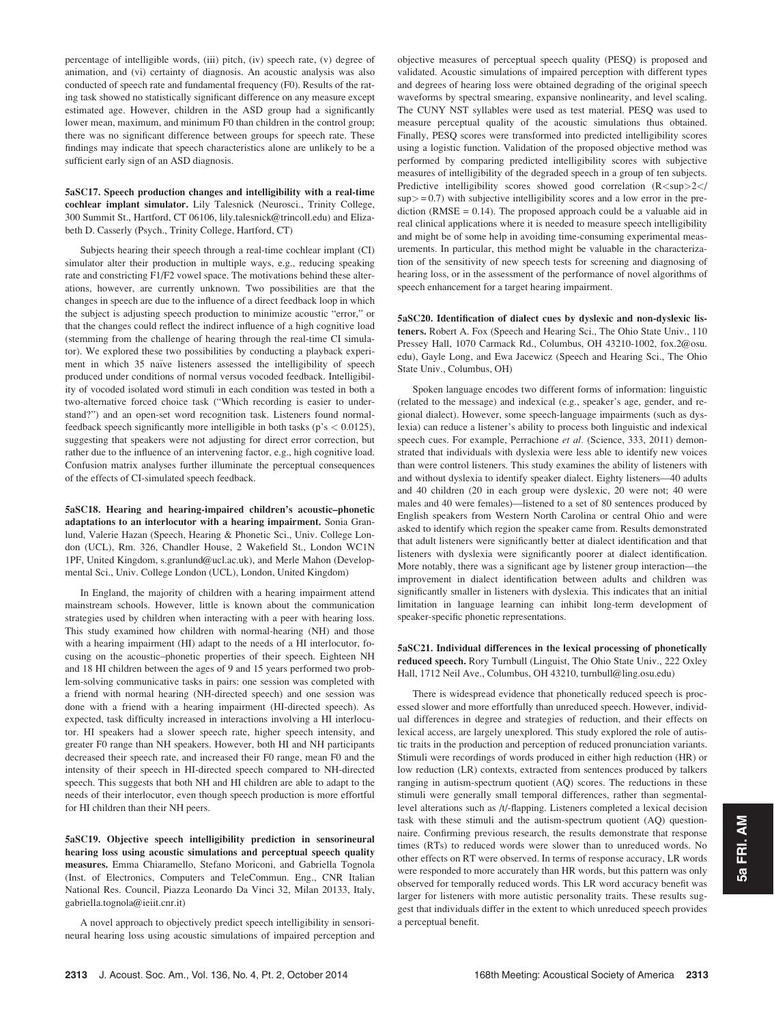percentage of intelligible words, (iii) pitch, (iv) speech rate, (v) degree of animation, and (vi) certainty of diagnosis. An acoustic analysis was also conducted of speech rate and fundamental frequency (F0). Results of the rating task showed no statistically significant difference on any measure except estimated age. However, children in the ASD group had a significantly lower mean, maximum, and minimum F0 than children in the control group; there was no significant difference between groups for speech rate. These findings may indicate that speech characteristics alone are unlikely to be a sufficient early sign of an ASD diagnosis.

### 5aSC17. Speech production changes and intelligibility with a real-time cochlear implant simulator. Lily Talesnick (Neurosci., Trinity College, 300 Summit St., Hartford, CT 06106, lily.talesnick@trincoll.edu) and Elizabeth D. Casserly (Psych., Trinity College, Hartford, CT)

Subjects hearing their speech through a real-time cochlear implant (CI) simulator alter their production in multiple ways, e.g., reducing speaking rate and constricting F1/F2 vowel space. The motivations behind these alterations, however, are currently unknown. Two possibilities are that the changes in speech are due to the influence of a direct feedback loop in which the subject is adjusting speech production to minimize acoustic "error," or that the changes could reflect the indirect influence of a high cognitive load (stemming from the challenge of hearing through the real-time CI simulator). We explored these two possibilities by conducting a playback experiment in which 35 naïve listeners assessed the intelligibility of speech produced under conditions of normal versus vocoded feedback. Intelligibility of vocoded isolated word stimuli in each condition was tested in both a two-alternative forced choice task ("Which recording is easier to understand?") and an open-set word recognition task. Listeners found normalfeedback speech significantly more intelligible in both tasks ( $p's < 0.0125$ ), suggesting that speakers were not adjusting for direct error correction, but rather due to the influence of an intervening factor, e.g., high cognitive load. Confusion matrix analyses further illuminate the perceptual consequences of the effects of CI-simulated speech feedback.

5aSC18. Hearing and hearing-impaired children's acoustic–phonetic adaptations to an interlocutor with a hearing impairment. Sonia Granlund, Valerie Hazan (Speech, Hearing & Phonetic Sci., Univ. College London (UCL), Rm. 326, Chandler House, 2 Wakefield St., London WC1N 1PF, United Kingdom, s.granlund@ucl.ac.uk), and Merle Mahon (Developmental Sci., Univ. College London (UCL), London, United Kingdom)

In England, the majority of children with a hearing impairment attend mainstream schools. However, little is known about the communication strategies used by children when interacting with a peer with hearing loss. This study examined how children with normal-hearing (NH) and those with a hearing impairment (HI) adapt to the needs of a HI interlocutor, focusing on the acoustic–phonetic properties of their speech. Eighteen NH and 18 HI children between the ages of 9 and 15 years performed two problem-solving communicative tasks in pairs: one session was completed with a friend with normal hearing (NH-directed speech) and one session was done with a friend with a hearing impairment (HI-directed speech). As expected, task difficulty increased in interactions involving a HI interlocutor. HI speakers had a slower speech rate, higher speech intensity, and greater F0 range than NH speakers. However, both HI and NH participants decreased their speech rate, and increased their F0 range, mean F0 and the intensity of their speech in HI-directed speech compared to NH-directed speech. This suggests that both NH and HI children are able to adapt to the needs of their interlocutor, even though speech production is more effortful for HI children than their NH peers.

5aSC19. Objective speech intelligibility prediction in sensorineural hearing loss using acoustic simulations and perceptual speech quality measures. Emma Chiaramello, Stefano Moriconi, and Gabriella Tognola (Inst. of Electronics, Computers and TeleCommun. Eng., CNR Italian National Res. Council, Piazza Leonardo Da Vinci 32, Milan 20133, Italy, gabriella.tognola@ieiit.cnr.it)

A novel approach to objectively predict speech intelligibility in sensorineural hearing loss using acoustic simulations of impaired perception and objective measures of perceptual speech quality (PESQ) is proposed and validated. Acoustic simulations of impaired perception with different types and degrees of hearing loss were obtained degrading of the original speech waveforms by spectral smearing, expansive nonlinearity, and level scaling. The CUNY NST syllables were used as test material. PESQ was used to measure perceptual quality of the acoustic simulations thus obtained. Finally, PESQ scores were transformed into predicted intelligibility scores using a logistic function. Validation of the proposed objective method was performed by comparing predicted intelligibility scores with subjective measures of intelligibility of the degraded speech in a group of ten subjects. Predictive intelligibility scores showed good correlation (R<sup>2</  $\text{sup}$  = 0.7) with subjective intelligibility scores and a low error in the prediction ( $RMSE = 0.14$ ). The proposed approach could be a valuable aid in real clinical applications where it is needed to measure speech intelligibility and might be of some help in avoiding time-consuming experimental measurements. In particular, this method might be valuable in the characterization of the sensitivity of new speech tests for screening and diagnosing of hearing loss, or in the assessment of the performance of novel algorithms of speech enhancement for a target hearing impairment.

5aSC20. Identification of dialect cues by dyslexic and non-dyslexic listeners. Robert A. Fox (Speech and Hearing Sci., The Ohio State Univ., 110 Pressey Hall, 1070 Carmack Rd., Columbus, OH 43210-1002, fox.2@osu. edu), Gayle Long, and Ewa Jacewicz (Speech and Hearing Sci., The Ohio State Univ., Columbus, OH)

Spoken language encodes two different forms of information: linguistic (related to the message) and indexical (e.g., speaker's age, gender, and regional dialect). However, some speech-language impairments (such as dyslexia) can reduce a listener's ability to process both linguistic and indexical speech cues. For example, Perrachione et al. (Science, 333, 2011) demonstrated that individuals with dyslexia were less able to identify new voices than were control listeners. This study examines the ability of listeners with and without dyslexia to identify speaker dialect. Eighty listeners—40 adults and 40 children (20 in each group were dyslexic, 20 were not; 40 were males and 40 were females)—listened to a set of 80 sentences produced by English speakers from Western North Carolina or central Ohio and were asked to identify which region the speaker came from. Results demonstrated that adult listeners were significantly better at dialect identification and that listeners with dyslexia were significantly poorer at dialect identification. More notably, there was a significant age by listener group interaction—the improvement in dialect identification between adults and children was significantly smaller in listeners with dyslexia. This indicates that an initial limitation in language learning can inhibit long-term development of speaker-specific phonetic representations.

5aSC21. Individual differences in the lexical processing of phonetically reduced speech. Rory Turnbull (Linguist, The Ohio State Univ., 222 Oxley Hall, 1712 Neil Ave., Columbus, OH 43210, turnbull@ling.osu.edu)

There is widespread evidence that phonetically reduced speech is processed slower and more effortfully than unreduced speech. However, individual differences in degree and strategies of reduction, and their effects on lexical access, are largely unexplored. This study explored the role of autistic traits in the production and perception of reduced pronunciation variants. Stimuli were recordings of words produced in either high reduction (HR) or low reduction (LR) contexts, extracted from sentences produced by talkers ranging in autism-spectrum quotient (AQ) scores. The reductions in these stimuli were generally small temporal differences, rather than segmentallevel alterations such as /t/-flapping. Listeners completed a lexical decision task with these stimuli and the autism-spectrum quotient (AQ) questionnaire. Confirming previous research, the results demonstrate that response times (RTs) to reduced words were slower than to unreduced words. No other effects on RT were observed. In terms of response accuracy, LR words were responded to more accurately than HR words, but this pattern was only observed for temporally reduced words. This LR word accuracy benefit was larger for listeners with more autistic personality traits. These results suggest that individuals differ in the extent to which unreduced speech provides a perceptual benefit.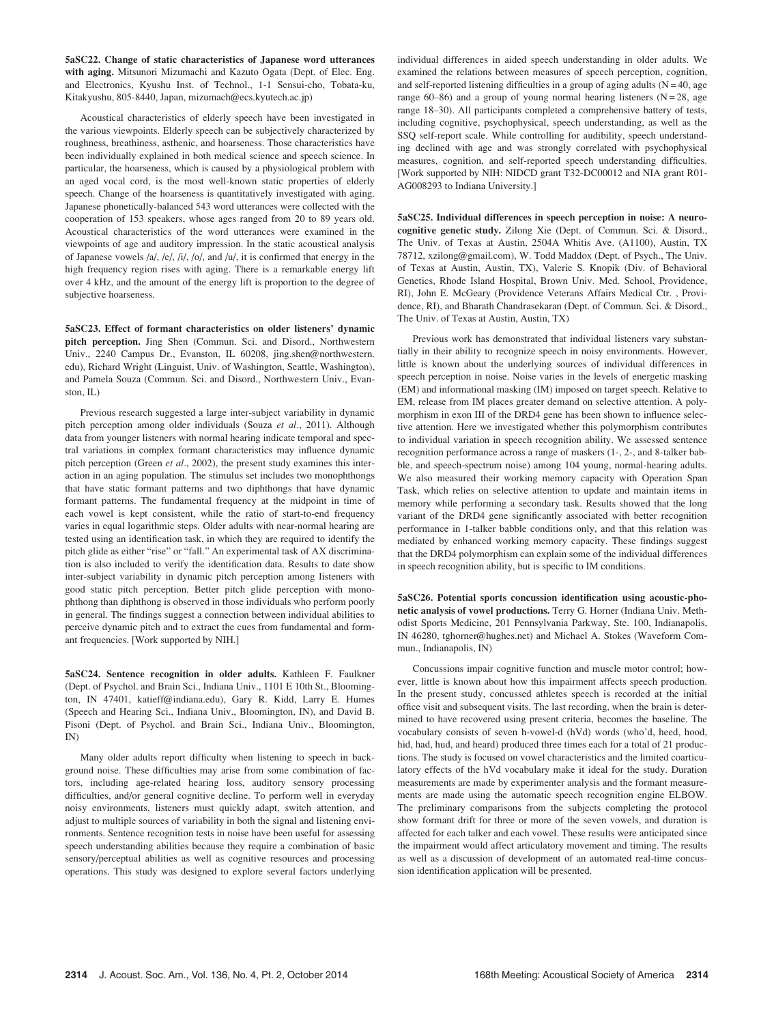5aSC22. Change of static characteristics of Japanese word utterances with aging. Mitsunori Mizumachi and Kazuto Ogata (Dept. of Elec. Eng. and Electronics, Kyushu Inst. of Technol., 1-1 Sensui-cho, Tobata-ku, Kitakyushu, 805-8440, Japan, mizumach@ecs.kyutech.ac.jp)

Acoustical characteristics of elderly speech have been investigated in the various viewpoints. Elderly speech can be subjectively characterized by roughness, breathiness, asthenic, and hoarseness. Those characteristics have been individually explained in both medical science and speech science. In particular, the hoarseness, which is caused by a physiological problem with an aged vocal cord, is the most well-known static properties of elderly speech. Change of the hoarseness is quantitatively investigated with aging. Japanese phonetically-balanced 543 word utterances were collected with the cooperation of 153 speakers, whose ages ranged from 20 to 89 years old. Acoustical characteristics of the word utterances were examined in the viewpoints of age and auditory impression. In the static acoustical analysis of Japanese vowels /a/, /e/, /i/, /o/, and /u/, it is confirmed that energy in the high frequency region rises with aging. There is a remarkable energy lift over 4 kHz, and the amount of the energy lift is proportion to the degree of subjective hoarseness.

5aSC23. Effect of formant characteristics on older listeners' dynamic pitch perception. Jing Shen (Commun. Sci. and Disord., Northwestern Univ., 2240 Campus Dr., Evanston, IL 60208, jing.shen@northwestern. edu), Richard Wright (Linguist, Univ. of Washington, Seattle, Washington), and Pamela Souza (Commun. Sci. and Disord., Northwestern Univ., Evanston, IL)

Previous research suggested a large inter-subject variability in dynamic pitch perception among older individuals (Souza et al., 2011). Although data from younger listeners with normal hearing indicate temporal and spectral variations in complex formant characteristics may influence dynamic pitch perception (Green et al., 2002), the present study examines this interaction in an aging population. The stimulus set includes two monophthongs that have static formant patterns and two diphthongs that have dynamic formant patterns. The fundamental frequency at the midpoint in time of each vowel is kept consistent, while the ratio of start-to-end frequency varies in equal logarithmic steps. Older adults with near-normal hearing are tested using an identification task, in which they are required to identify the pitch glide as either "rise" or "fall." An experimental task of AX discrimination is also included to verify the identification data. Results to date show inter-subject variability in dynamic pitch perception among listeners with good static pitch perception. Better pitch glide perception with monophthong than diphthong is observed in those individuals who perform poorly in general. The findings suggest a connection between individual abilities to perceive dynamic pitch and to extract the cues from fundamental and formant frequencies. [Work supported by NIH.]

5aSC24. Sentence recognition in older adults. Kathleen F. Faulkner (Dept. of Psychol. and Brain Sci., Indiana Univ., 1101 E 10th St., Bloomington, IN 47401, katieff@indiana.edu), Gary R. Kidd, Larry E. Humes (Speech and Hearing Sci., Indiana Univ., Bloomington, IN), and David B. Pisoni (Dept. of Psychol. and Brain Sci., Indiana Univ., Bloomington, IN)

Many older adults report difficulty when listening to speech in background noise. These difficulties may arise from some combination of factors, including age-related hearing loss, auditory sensory processing difficulties, and/or general cognitive decline. To perform well in everyday noisy environments, listeners must quickly adapt, switch attention, and adjust to multiple sources of variability in both the signal and listening environments. Sentence recognition tests in noise have been useful for assessing speech understanding abilities because they require a combination of basic sensory/perceptual abilities as well as cognitive resources and processing operations. This study was designed to explore several factors underlying individual differences in aided speech understanding in older adults. We examined the relations between measures of speech perception, cognition, and self-reported listening difficulties in a group of aging adults  $(N = 40$ , age range 60–86) and a group of young normal hearing listeners ( $N = 28$ , age range 18–30). All participants completed a comprehensive battery of tests, including cognitive, psychophysical, speech understanding, as well as the SSQ self-report scale. While controlling for audibility, speech understanding declined with age and was strongly correlated with psychophysical measures, cognition, and self-reported speech understanding difficulties. [Work supported by NIH: NIDCD grant T32-DC00012 and NIA grant R01- AG008293 to Indiana University.]

5aSC25. Individual differences in speech perception in noise: A neurocognitive genetic study. Zilong Xie (Dept. of Commun. Sci. & Disord., The Univ. of Texas at Austin, 2504A Whitis Ave. (A1100), Austin, TX 78712, xzilong@gmail.com), W. Todd Maddox (Dept. of Psych., The Univ. of Texas at Austin, Austin, TX), Valerie S. Knopik (Div. of Behavioral Genetics, Rhode Island Hospital, Brown Univ. Med. School, Providence, RI), John E. McGeary (Providence Veterans Affairs Medical Ctr. , Providence, RI), and Bharath Chandrasekaran (Dept. of Commun. Sci. & Disord., The Univ. of Texas at Austin, Austin, TX)

Previous work has demonstrated that individual listeners vary substantially in their ability to recognize speech in noisy environments. However, little is known about the underlying sources of individual differences in speech perception in noise. Noise varies in the levels of energetic masking (EM) and informational masking (IM) imposed on target speech. Relative to EM, release from IM places greater demand on selective attention. A polymorphism in exon III of the DRD4 gene has been shown to influence selective attention. Here we investigated whether this polymorphism contributes to individual variation in speech recognition ability. We assessed sentence recognition performance across a range of maskers (1-, 2-, and 8-talker babble, and speech-spectrum noise) among 104 young, normal-hearing adults. We also measured their working memory capacity with Operation Span Task, which relies on selective attention to update and maintain items in memory while performing a secondary task. Results showed that the long variant of the DRD4 gene significantly associated with better recognition performance in 1-talker babble conditions only, and that this relation was mediated by enhanced working memory capacity. These findings suggest that the DRD4 polymorphism can explain some of the individual differences in speech recognition ability, but is specific to IM conditions.

5aSC26. Potential sports concussion identification using acoustic-phonetic analysis of vowel productions. Terry G. Horner (Indiana Univ. Methodist Sports Medicine, 201 Pennsylvania Parkway, Ste. 100, Indianapolis, IN 46280, tghorner@hughes.net) and Michael A. Stokes (Waveform Commun., Indianapolis, IN)

Concussions impair cognitive function and muscle motor control; however, little is known about how this impairment affects speech production. In the present study, concussed athletes speech is recorded at the initial office visit and subsequent visits. The last recording, when the brain is determined to have recovered using present criteria, becomes the baseline. The vocabulary consists of seven h-vowel-d (hVd) words (who'd, heed, hood, hid, had, hud, and heard) produced three times each for a total of 21 productions. The study is focused on vowel characteristics and the limited coarticulatory effects of the hVd vocabulary make it ideal for the study. Duration measurements are made by experimenter analysis and the formant measurements are made using the automatic speech recognition engine ELBOW. The preliminary comparisons from the subjects completing the protocol show formant drift for three or more of the seven vowels, and duration is affected for each talker and each vowel. These results were anticipated since the impairment would affect articulatory movement and timing. The results as well as a discussion of development of an automated real-time concussion identification application will be presented.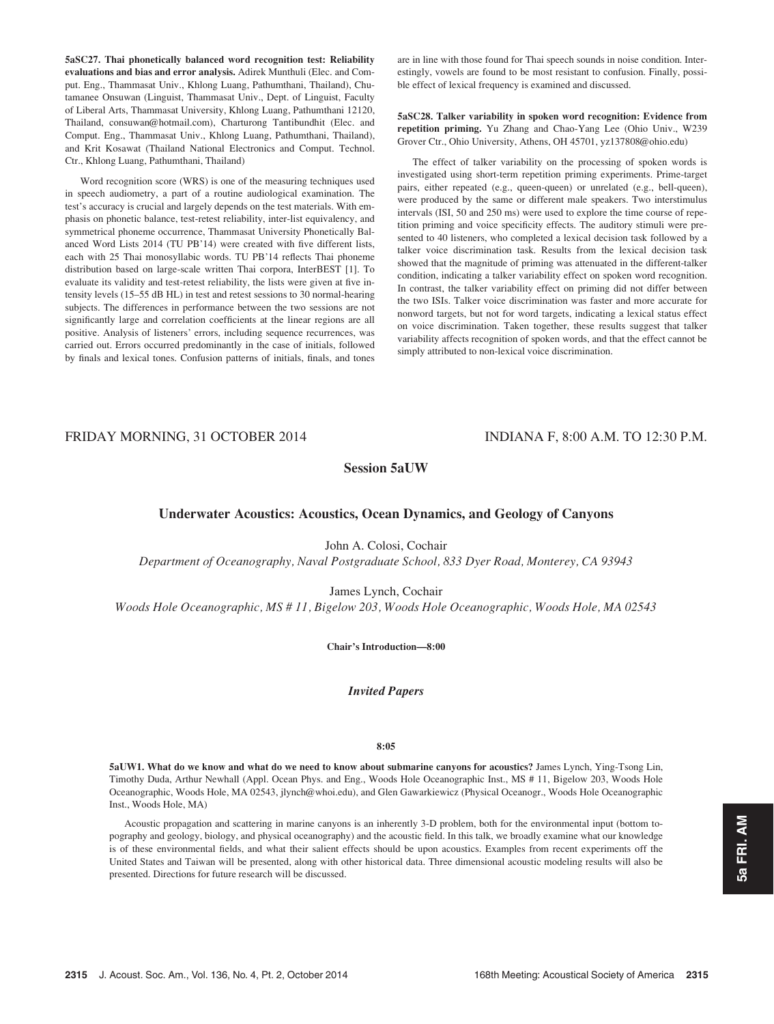5aSC27. Thai phonetically balanced word recognition test: Reliability evaluations and bias and error analysis. Adirek Munthuli (Elec. and Comput. Eng., Thammasat Univ., Khlong Luang, Pathumthani, Thailand), Chutamanee Onsuwan (Linguist, Thammasat Univ., Dept. of Linguist, Faculty of Liberal Arts, Thammasat University, Khlong Luang, Pathumthani 12120, Thailand, consuwan@hotmail.com), Charturong Tantibundhit (Elec. and Comput. Eng., Thammasat Univ., Khlong Luang, Pathumthani, Thailand), and Krit Kosawat (Thailand National Electronics and Comput. Technol. Ctr., Khlong Luang, Pathumthani, Thailand)

Word recognition score (WRS) is one of the measuring techniques used in speech audiometry, a part of a routine audiological examination. The test's accuracy is crucial and largely depends on the test materials. With emphasis on phonetic balance, test-retest reliability, inter-list equivalency, and symmetrical phoneme occurrence, Thammasat University Phonetically Balanced Word Lists 2014 (TU PB'14) were created with five different lists, each with 25 Thai monosyllabic words. TU PB'14 reflects Thai phoneme distribution based on large-scale written Thai corpora, InterBEST [1]. To evaluate its validity and test-retest reliability, the lists were given at five intensity levels (15–55 dB HL) in test and retest sessions to 30 normal-hearing subjects. The differences in performance between the two sessions are not significantly large and correlation coefficients at the linear regions are all positive. Analysis of listeners' errors, including sequence recurrences, was carried out. Errors occurred predominantly in the case of initials, followed by finals and lexical tones. Confusion patterns of initials, finals, and tones are in line with those found for Thai speech sounds in noise condition. Interestingly, vowels are found to be most resistant to confusion. Finally, possible effect of lexical frequency is examined and discussed.

5aSC28. Talker variability in spoken word recognition: Evidence from repetition priming. Yu Zhang and Chao-Yang Lee (Ohio Univ., W239 Grover Ctr., Ohio University, Athens, OH 45701, yz137808@ohio.edu)

The effect of talker variability on the processing of spoken words is investigated using short-term repetition priming experiments. Prime-target pairs, either repeated (e.g., queen-queen) or unrelated (e.g., bell-queen), were produced by the same or different male speakers. Two interstimulus intervals (ISI, 50 and 250 ms) were used to explore the time course of repetition priming and voice specificity effects. The auditory stimuli were presented to 40 listeners, who completed a lexical decision task followed by a talker voice discrimination task. Results from the lexical decision task showed that the magnitude of priming was attenuated in the different-talker condition, indicating a talker variability effect on spoken word recognition. In contrast, the talker variability effect on priming did not differ between the two ISIs. Talker voice discrimination was faster and more accurate for nonword targets, but not for word targets, indicating a lexical status effect on voice discrimination. Taken together, these results suggest that talker variability affects recognition of spoken words, and that the effect cannot be simply attributed to non-lexical voice discrimination.

# FRIDAY MORNING, 31 OCTOBER 2014 INDIANA F, 8:00 A.M. TO 12:30 P.M.

# Session 5aUW

## Underwater Acoustics: Acoustics, Ocean Dynamics, and Geology of Canyons

John A. Colosi, Cochair

Department of Oceanography, Naval Postgraduate School, 833 Dyer Road, Monterey, CA 93943

James Lynch, Cochair

Woods Hole Oceanographic, MS # 11, Bigelow 203, Woods Hole Oceanographic, Woods Hole, MA 02543

Chair's Introduction—8:00

Invited Papers

#### 8:05

5aUW1. What do we know and what do we need to know about submarine canyons for acoustics? James Lynch, Ying-Tsong Lin, Timothy Duda, Arthur Newhall (Appl. Ocean Phys. and Eng., Woods Hole Oceanographic Inst., MS # 11, Bigelow 203, Woods Hole Oceanographic, Woods Hole, MA 02543, jlynch@whoi.edu), and Glen Gawarkiewicz (Physical Oceanogr., Woods Hole Oceanographic Inst., Woods Hole, MA)

Acoustic propagation and scattering in marine canyons is an inherently 3-D problem, both for the environmental input (bottom topography and geology, biology, and physical oceanography) and the acoustic field. In this talk, we broadly examine what our knowledge is of these environmental fields, and what their salient effects should be upon acoustics. Examples from recent experiments off the United States and Taiwan will be presented, along with other historical data. Three dimensional acoustic modeling results will also be presented. Directions for future research will be discussed.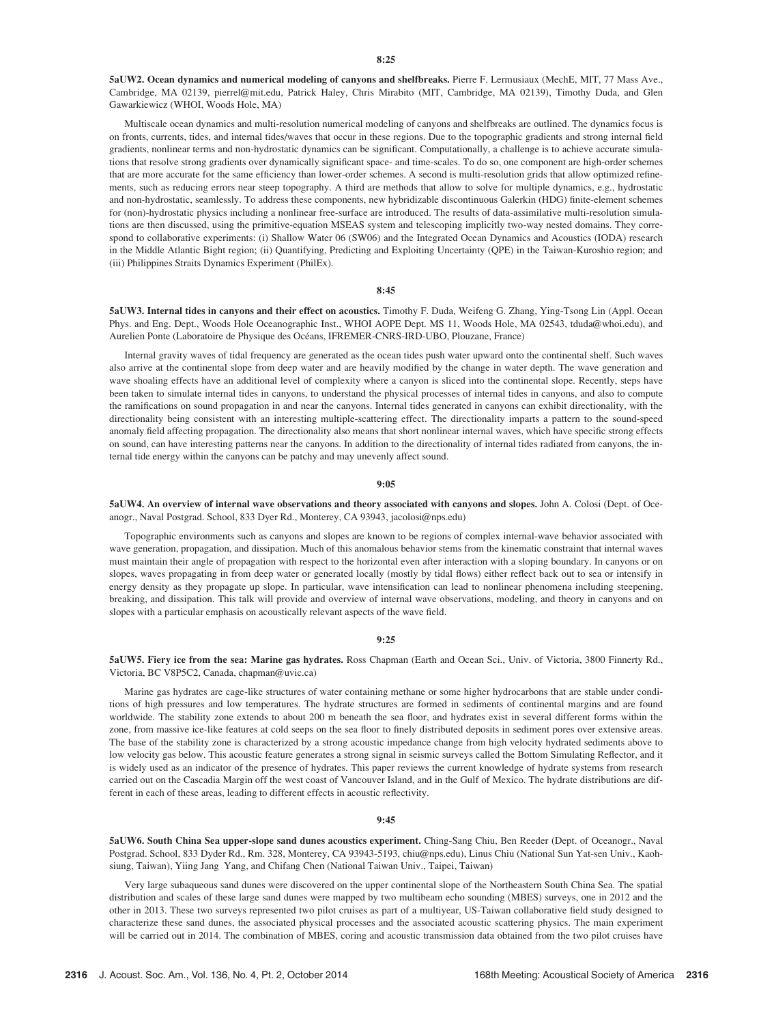5aUW2. Ocean dynamics and numerical modeling of canyons and shelfbreaks. Pierre F. Lermusiaux (MechE, MIT, 77 Mass Ave., Cambridge, MA 02139, pierrel@mit.edu, Patrick Haley, Chris Mirabito (MIT, Cambridge, MA 02139), Timothy Duda, and Glen Gawarkiewicz (WHOI, Woods Hole, MA)

Multiscale ocean dynamics and multi-resolution numerical modeling of canyons and shelfbreaks are outlined. The dynamics focus is on fronts, currents, tides, and internal tides/waves that occur in these regions. Due to the topographic gradients and strong internal field gradients, nonlinear terms and non-hydrostatic dynamics can be significant. Computationally, a challenge is to achieve accurate simulations that resolve strong gradients over dynamically significant space- and time-scales. To do so, one component are high-order schemes that are more accurate for the same efficiency than lower-order schemes. A second is multi-resolution grids that allow optimized refinements, such as reducing errors near steep topography. A third are methods that allow to solve for multiple dynamics, e.g., hydrostatic and non-hydrostatic, seamlessly. To address these components, new hybridizable discontinuous Galerkin (HDG) finite-element schemes for (non)-hydrostatic physics including a nonlinear free-surface are introduced. The results of data-assimilative multi-resolution simulations are then discussed, using the primitive-equation MSEAS system and telescoping implicitly two-way nested domains. They correspond to collaborative experiments: (i) Shallow Water 06 (SW06) and the Integrated Ocean Dynamics and Acoustics (IODA) research in the Middle Atlantic Bight region; (ii) Quantifying, Predicting and Exploiting Uncertainty (QPE) in the Taiwan-Kuroshio region; and (iii) Philippines Straits Dynamics Experiment (PhilEx).

### 8:45

5aUW3. Internal tides in canyons and their effect on acoustics. Timothy F. Duda, Weifeng G. Zhang, Ying-Tsong Lin (Appl. Ocean Phys. and Eng. Dept., Woods Hole Oceanographic Inst., WHOI AOPE Dept. MS 11, Woods Hole, MA 02543, tduda@whoi.edu), and Aurelien Ponte (Laboratoire de Physique des Océans, IFREMER-CNRS-IRD-UBO, Plouzane, France)

Internal gravity waves of tidal frequency are generated as the ocean tides push water upward onto the continental shelf. Such waves also arrive at the continental slope from deep water and are heavily modified by the change in water depth. The wave generation and wave shoaling effects have an additional level of complexity where a canyon is sliced into the continental slope. Recently, steps have been taken to simulate internal tides in canyons, to understand the physical processes of internal tides in canyons, and also to compute the ramifications on sound propagation in and near the canyons. Internal tides generated in canyons can exhibit directionality, with the directionality being consistent with an interesting multiple-scattering effect. The directionality imparts a pattern to the sound-speed anomaly field affecting propagation. The directionality also means that short nonlinear internal waves, which have specific strong effects on sound, can have interesting patterns near the canyons. In addition to the directionality of internal tides radiated from canyons, the internal tide energy within the canyons can be patchy and may unevenly affect sound.

#### 9:05

5aUW4. An overview of internal wave observations and theory associated with canyons and slopes. John A. Colosi (Dept. of Oceanogr., Naval Postgrad. School, 833 Dyer Rd., Monterey, CA 93943, jacolosi@nps.edu)

Topographic environments such as canyons and slopes are known to be regions of complex internal-wave behavior associated with wave generation, propagation, and dissipation. Much of this anomalous behavior stems from the kinematic constraint that internal waves must maintain their angle of propagation with respect to the horizontal even after interaction with a sloping boundary. In canyons or on slopes, waves propagating in from deep water or generated locally (mostly by tidal flows) either reflect back out to sea or intensify in energy density as they propagate up slope. In particular, wave intensification can lead to nonlinear phenomena including steepening, breaking, and dissipation. This talk will provide and overview of internal wave observations, modeling, and theory in canyons and on slopes with a particular emphasis on acoustically relevant aspects of the wave field.

### 9:25

5aUW5. Fiery ice from the sea: Marine gas hydrates. Ross Chapman (Earth and Ocean Sci., Univ. of Victoria, 3800 Finnerty Rd., Victoria, BC V8P5C2, Canada, chapman@uvic.ca)

Marine gas hydrates are cage-like structures of water containing methane or some higher hydrocarbons that are stable under conditions of high pressures and low temperatures. The hydrate structures are formed in sediments of continental margins and are found worldwide. The stability zone extends to about 200 m beneath the sea floor, and hydrates exist in several different forms within the zone, from massive ice-like features at cold seeps on the sea floor to finely distributed deposits in sediment pores over extensive areas. The base of the stability zone is characterized by a strong acoustic impedance change from high velocity hydrated sediments above to low velocity gas below. This acoustic feature generates a strong signal in seismic surveys called the Bottom Simulating Reflector, and it is widely used as an indicator of the presence of hydrates. This paper reviews the current knowledge of hydrate systems from research carried out on the Cascadia Margin off the west coast of Vancouver Island, and in the Gulf of Mexico. The hydrate distributions are different in each of these areas, leading to different effects in acoustic reflectivity.

#### 9:45

5aUW6. South China Sea upper-slope sand dunes acoustics experiment. Ching-Sang Chiu, Ben Reeder (Dept. of Oceanogr., Naval Postgrad. School, 833 Dyder Rd., Rm. 328, Monterey, CA 93943-5193, chiu@nps.edu), Linus Chiu (National Sun Yat-sen Univ., Kaohsiung, Taiwan), Yiing Jang Yang, and Chifang Chen (National Taiwan Univ., Taipei, Taiwan)

Very large subaqueous sand dunes were discovered on the upper continental slope of the Northeastern South China Sea. The spatial distribution and scales of these large sand dunes were mapped by two multibeam echo sounding (MBES) surveys, one in 2012 and the other in 2013. These two surveys represented two pilot cruises as part of a multiyear, US-Taiwan collaborative field study designed to characterize these sand dunes, the associated physical processes and the associated acoustic scattering physics. The main experiment will be carried out in 2014. The combination of MBES, coring and acoustic transmission data obtained from the two pilot cruises have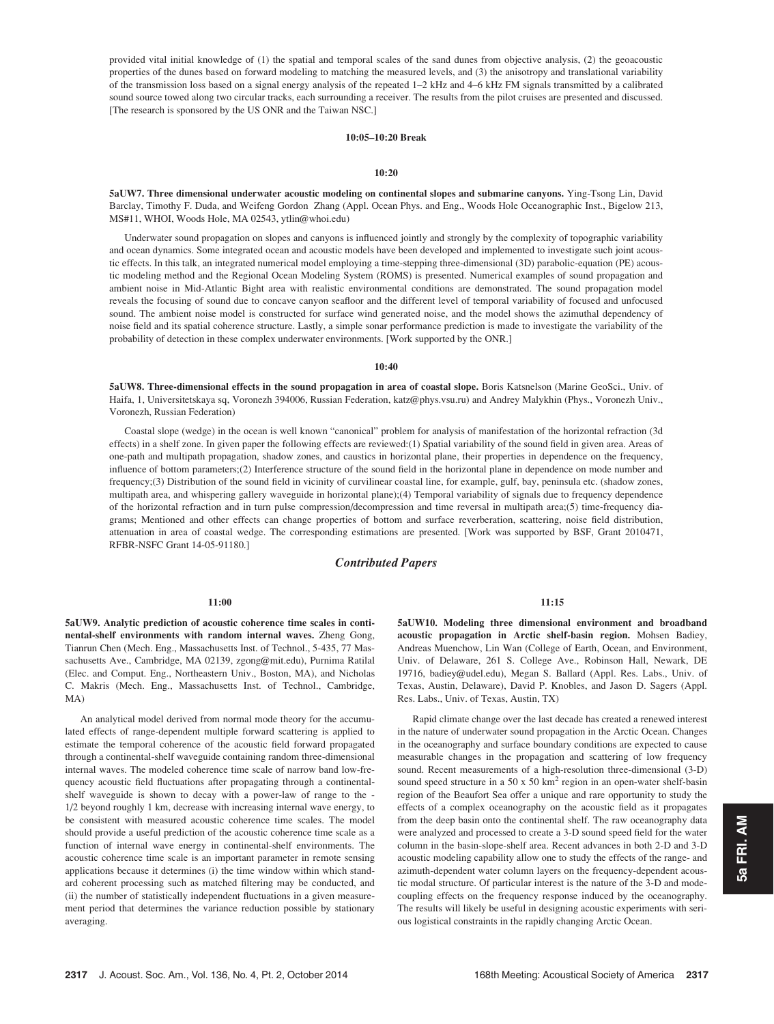provided vital initial knowledge of (1) the spatial and temporal scales of the sand dunes from objective analysis, (2) the geoacoustic properties of the dunes based on forward modeling to matching the measured levels, and (3) the anisotropy and translational variability of the transmission loss based on a signal energy analysis of the repeated 1–2 kHz and 4–6 kHz FM signals transmitted by a calibrated sound source towed along two circular tracks, each surrounding a receiver. The results from the pilot cruises are presented and discussed. [The research is sponsored by the US ONR and the Taiwan NSC.]

### 10:05–10:20 Break

#### 10:20

5aUW7. Three dimensional underwater acoustic modeling on continental slopes and submarine canyons. Ying-Tsong Lin, David Barclay, Timothy F. Duda, and Weifeng Gordon Zhang (Appl. Ocean Phys. and Eng., Woods Hole Oceanographic Inst., Bigelow 213, MS#11, WHOI, Woods Hole, MA 02543, ytlin@whoi.edu)

Underwater sound propagation on slopes and canyons is influenced jointly and strongly by the complexity of topographic variability and ocean dynamics. Some integrated ocean and acoustic models have been developed and implemented to investigate such joint acoustic effects. In this talk, an integrated numerical model employing a time-stepping three-dimensional (3D) parabolic-equation (PE) acoustic modeling method and the Regional Ocean Modeling System (ROMS) is presented. Numerical examples of sound propagation and ambient noise in Mid-Atlantic Bight area with realistic environmental conditions are demonstrated. The sound propagation model reveals the focusing of sound due to concave canyon seafloor and the different level of temporal variability of focused and unfocused sound. The ambient noise model is constructed for surface wind generated noise, and the model shows the azimuthal dependency of noise field and its spatial coherence structure. Lastly, a simple sonar performance prediction is made to investigate the variability of the probability of detection in these complex underwater environments. [Work supported by the ONR.]

### $10:40$

5aUW8. Three-dimensional effects in the sound propagation in area of coastal slope. Boris Katsnelson (Marine GeoSci., Univ. of Haifa, 1, Universitetskaya sq, Voronezh 394006, Russian Federation, katz@phys.vsu.ru) and Andrey Malykhin (Phys., Voronezh Univ., Voronezh, Russian Federation)

Coastal slope (wedge) in the ocean is well known "canonical" problem for analysis of manifestation of the horizontal refraction (3d effects) in a shelf zone. In given paper the following effects are reviewed:(1) Spatial variability of the sound field in given area. Areas of one-path and multipath propagation, shadow zones, and caustics in horizontal plane, their properties in dependence on the frequency, influence of bottom parameters;(2) Interference structure of the sound field in the horizontal plane in dependence on mode number and frequency;(3) Distribution of the sound field in vicinity of curvilinear coastal line, for example, gulf, bay, peninsula etc. (shadow zones, multipath area, and whispering gallery waveguide in horizontal plane);(4) Temporal variability of signals due to frequency dependence of the horizontal refraction and in turn pulse compression/decompression and time reversal in multipath area;(5) time-frequency diagrams; Mentioned and other effects can change properties of bottom and surface reverberation, scattering, noise field distribution, attenuation in area of coastal wedge. The corresponding estimations are presented. [Work was supported by BSF, Grant 2010471, RFBR-NSFC Grant 14-05-91180.]

# Contributed Papers

#### 11:00

5aUW9. Analytic prediction of acoustic coherence time scales in continental-shelf environments with random internal waves. Zheng Gong, Tianrun Chen (Mech. Eng., Massachusetts Inst. of Technol., 5-435, 77 Massachusetts Ave., Cambridge, MA 02139, zgong@mit.edu), Purnima Ratilal (Elec. and Comput. Eng., Northeastern Univ., Boston, MA), and Nicholas C. Makris (Mech. Eng., Massachusetts Inst. of Technol., Cambridge, MA)

An analytical model derived from normal mode theory for the accumulated effects of range-dependent multiple forward scattering is applied to estimate the temporal coherence of the acoustic field forward propagated through a continental-shelf waveguide containing random three-dimensional internal waves. The modeled coherence time scale of narrow band low-frequency acoustic field fluctuations after propagating through a continentalshelf waveguide is shown to decay with a power-law of range to the - 1/2 beyond roughly 1 km, decrease with increasing internal wave energy, to be consistent with measured acoustic coherence time scales. The model should provide a useful prediction of the acoustic coherence time scale as a function of internal wave energy in continental-shelf environments. The acoustic coherence time scale is an important parameter in remote sensing applications because it determines (i) the time window within which standard coherent processing such as matched filtering may be conducted, and (ii) the number of statistically independent fluctuations in a given measurement period that determines the variance reduction possible by stationary averaging.

11:15

5aUW10. Modeling three dimensional environment and broadband acoustic propagation in Arctic shelf-basin region. Mohsen Badiey, Andreas Muenchow, Lin Wan (College of Earth, Ocean, and Environment, Univ. of Delaware, 261 S. College Ave., Robinson Hall, Newark, DE 19716, badiey@udel.edu), Megan S. Ballard (Appl. Res. Labs., Univ. of Texas, Austin, Delaware), David P. Knobles, and Jason D. Sagers (Appl. Res. Labs., Univ. of Texas, Austin, TX)

Rapid climate change over the last decade has created a renewed interest in the nature of underwater sound propagation in the Arctic Ocean. Changes in the oceanography and surface boundary conditions are expected to cause measurable changes in the propagation and scattering of low frequency sound. Recent measurements of a high-resolution three-dimensional (3-D) sound speed structure in a 50 x 50  $km^2$  region in an open-water shelf-basin region of the Beaufort Sea offer a unique and rare opportunity to study the effects of a complex oceanography on the acoustic field as it propagates from the deep basin onto the continental shelf. The raw oceanography data were analyzed and processed to create a 3-D sound speed field for the water column in the basin-slope-shelf area. Recent advances in both 2-D and 3-D acoustic modeling capability allow one to study the effects of the range- and azimuth-dependent water column layers on the frequency-dependent acoustic modal structure. Of particular interest is the nature of the 3-D and modecoupling effects on the frequency response induced by the oceanography. The results will likely be useful in designing acoustic experiments with serious logistical constraints in the rapidly changing Arctic Ocean.